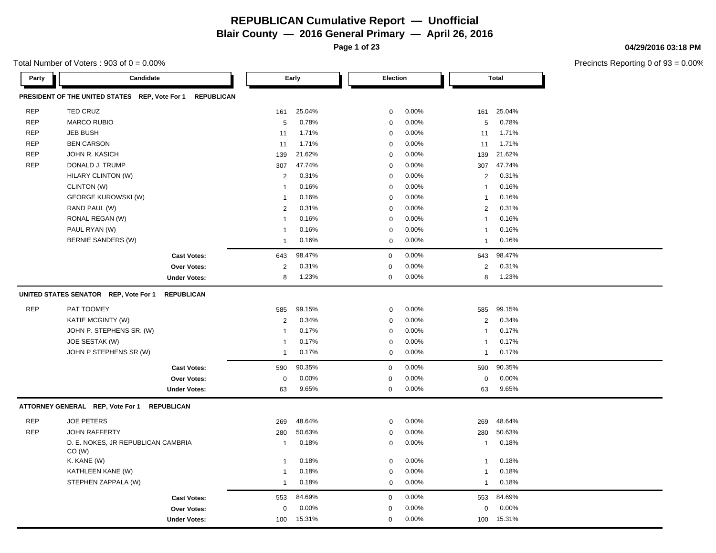**Page 1 of 23**

**04/29/2016 03:18 PM**

| Total Number of Voters : 903 of $0 = 0.00\%$ |  |
|----------------------------------------------|--|
|----------------------------------------------|--|

| Party      | Candidate                                                           |                | Early  |             | Election |                | <b>Total</b> |
|------------|---------------------------------------------------------------------|----------------|--------|-------------|----------|----------------|--------------|
|            | PRESIDENT OF THE UNITED STATES REP, Vote For 1<br><b>REPUBLICAN</b> |                |        |             |          |                |              |
| <b>REP</b> | <b>TED CRUZ</b>                                                     | 161            | 25.04% | $\mathbf 0$ | 0.00%    | 161            | 25.04%       |
| <b>REP</b> | <b>MARCO RUBIO</b>                                                  | 5              | 0.78%  | $\mathbf 0$ | 0.00%    | 5              | 0.78%        |
| <b>REP</b> | <b>JEB BUSH</b>                                                     | 11             | 1.71%  | $\mathbf 0$ | 0.00%    | 11             | 1.71%        |
| <b>REP</b> | <b>BEN CARSON</b>                                                   | 11             | 1.71%  | $\mathbf 0$ | 0.00%    | 11             | 1.71%        |
| <b>REP</b> | JOHN R. KASICH                                                      | 139            | 21.62% | $\mathbf 0$ | 0.00%    | 139            | 21.62%       |
| <b>REP</b> | DONALD J. TRUMP                                                     | 307            | 47.74% | $\mathbf 0$ | 0.00%    | 307            | 47.74%       |
|            | <b>HILARY CLINTON (W)</b>                                           | $\overline{2}$ | 0.31%  | $\mathbf 0$ | 0.00%    | $\overline{2}$ | 0.31%        |
|            | CLINTON (W)                                                         | $\mathbf 1$    | 0.16%  | $\mathbf 0$ | 0.00%    | $\mathbf{1}$   | 0.16%        |
|            | <b>GEORGE KUROWSKI (W)</b>                                          | $\mathbf{1}$   | 0.16%  | $\mathbf 0$ | 0.00%    | 1              | 0.16%        |
|            | RAND PAUL (W)                                                       | 2              | 0.31%  | $\mathbf 0$ | 0.00%    | $\overline{2}$ | 0.31%        |
|            | RONAL REGAN (W)                                                     | 1              | 0.16%  | $\mathsf 0$ | 0.00%    | $\mathbf{1}$   | 0.16%        |
|            | PAUL RYAN (W)                                                       | $\overline{1}$ | 0.16%  | $\mathbf 0$ | 0.00%    | $\mathbf{1}$   | 0.16%        |
|            | <b>BERNIE SANDERS (W)</b>                                           | $\overline{1}$ | 0.16%  | $\mathbf 0$ | 0.00%    | 1              | 0.16%        |
|            | <b>Cast Votes:</b>                                                  | 643            | 98.47% | $\mathbf 0$ | 0.00%    | 643            | 98.47%       |
|            | Over Votes:                                                         | 2              | 0.31%  | $\mathbf 0$ | 0.00%    | $\overline{c}$ | 0.31%        |
|            | <b>Under Votes:</b>                                                 | 8              | 1.23%  | 0           | 0.00%    | 8              | 1.23%        |
|            | UNITED STATES SENATOR REP, Vote For 1<br><b>REPUBLICAN</b>          |                |        |             |          |                |              |
| <b>REP</b> | PAT TOOMEY                                                          | 585            | 99.15% | $\mathbf 0$ | 0.00%    | 585            | 99.15%       |
|            | <b>KATIE MCGINTY (W)</b>                                            | $\overline{2}$ | 0.34%  | $\mathsf 0$ | 0.00%    | $\overline{2}$ | 0.34%        |
|            | JOHN P. STEPHENS SR. (W)                                            | $\mathbf 1$    | 0.17%  | $\mathbf 0$ | 0.00%    | $\mathbf{1}$   | 0.17%        |
|            | JOE SESTAK (W)                                                      | $\mathbf{1}$   | 0.17%  | $\mathsf 0$ | 0.00%    | $\mathbf 1$    | 0.17%        |
|            | JOHN P STEPHENS SR (W)                                              | $\mathbf{1}$   | 0.17%  | $\mathbf 0$ | 0.00%    | $\mathbf{1}$   | 0.17%        |
|            | <b>Cast Votes:</b>                                                  | 590            | 90.35% | $\mathbf 0$ | 0.00%    | 590            | 90.35%       |
|            | Over Votes:                                                         | 0              | 0.00%  | $\mathbf 0$ | 0.00%    | $\mathsf 0$    | 0.00%        |
|            | <b>Under Votes:</b>                                                 | 63             | 9.65%  | $\mathbf 0$ | 0.00%    | 63             | 9.65%        |
|            | ATTORNEY GENERAL REP, Vote For 1 REPUBLICAN                         |                |        |             |          |                |              |
| <b>REP</b> | <b>JOE PETERS</b>                                                   | 269            | 48.64% | $\mathbf 0$ | 0.00%    | 269            | 48.64%       |
| <b>REP</b> | <b>JOHN RAFFERTY</b>                                                | 280            | 50.63% | $\mathsf 0$ | 0.00%    | 280            | 50.63%       |
|            | D. E. NOKES, JR REPUBLICAN CAMBRIA<br>CO (W)                        | $\overline{1}$ | 0.18%  | $\mathbf 0$ | 0.00%    | 1              | 0.18%        |
|            | K. KANE (W)                                                         | $\mathbf{1}$   | 0.18%  | $\mathbf 0$ | 0.00%    | 1              | 0.18%        |
|            | KATHLEEN KANE (W)                                                   | $\mathbf 1$    | 0.18%  | $\mathbf 0$ | 0.00%    | 1              | 0.18%        |
|            | STEPHEN ZAPPALA (W)                                                 | $\mathbf{1}$   | 0.18%  | $\mathbf 0$ | 0.00%    | $\mathbf{1}$   | 0.18%        |
|            | <b>Cast Votes:</b>                                                  | 553            | 84.69% | $\mathbf 0$ | 0.00%    | 553            | 84.69%       |
|            | Over Votes:                                                         | 0              | 0.00%  | $\mathbf 0$ | 0.00%    | 0              | 0.00%        |
|            | <b>Under Votes:</b>                                                 | 100            | 15.31% | $\mathbf 0$ | 0.00%    | 100            | 15.31%       |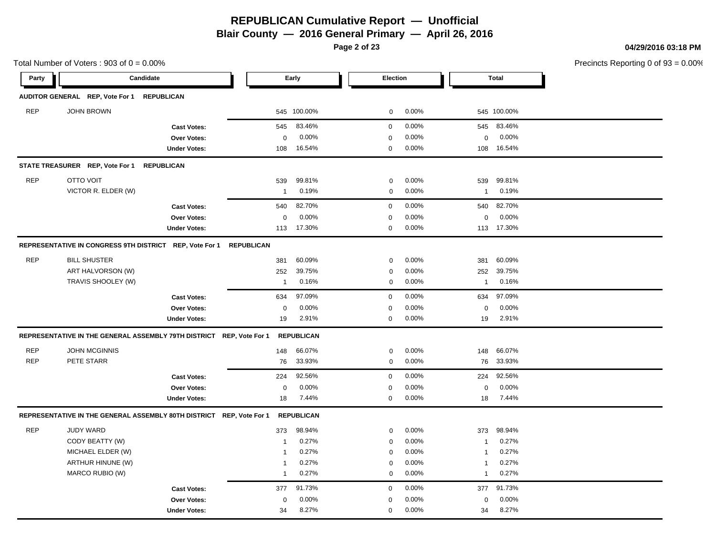**Blair County — 2016 General Primary — April 26, 2016**

**Page 2 of 23**

Total Number of Voters :  $903$  of  $0 = 0.00\%$ 

**04/29/2016 03:18 PM**

| Party      | Candidate                                               |                                                                      |                   | Early             | Election         |       |                | <b>Total</b> |  |
|------------|---------------------------------------------------------|----------------------------------------------------------------------|-------------------|-------------------|------------------|-------|----------------|--------------|--|
|            | AUDITOR GENERAL REP, Vote For 1                         | <b>REPUBLICAN</b>                                                    |                   |                   |                  |       |                |              |  |
| <b>REP</b> | <b>JOHN BROWN</b>                                       |                                                                      |                   | 545 100.00%       | $\mathbf 0$      | 0.00% |                | 545 100.00%  |  |
|            |                                                         | <b>Cast Votes:</b>                                                   | 545               | 83.46%            | $\mathbf 0$      | 0.00% | 545            | 83.46%       |  |
|            |                                                         | Over Votes:                                                          | $\mathbf 0$       | 0.00%             | $\mathbf 0$      | 0.00% | $\mathbf 0$    | 0.00%        |  |
|            |                                                         | <b>Under Votes:</b>                                                  | 108               | 16.54%            | $\mathbf 0$      | 0.00% | 108            | 16.54%       |  |
|            | STATE TREASURER REP, Vote For 1                         | <b>REPUBLICAN</b>                                                    |                   |                   |                  |       |                |              |  |
| <b>REP</b> | <b>OTTO VOIT</b>                                        |                                                                      | 539               | 99.81%            | $\mathbf 0$      | 0.00% | 539            | 99.81%       |  |
|            | VICTOR R. ELDER (W)                                     |                                                                      | $\mathbf{1}$      | 0.19%             | $\mathbf 0$      | 0.00% | $\overline{1}$ | 0.19%        |  |
|            |                                                         | <b>Cast Votes:</b>                                                   | 540               | 82.70%            | $\mathsf 0$      | 0.00% | 540            | 82.70%       |  |
|            |                                                         | Over Votes:                                                          | 0                 | 0.00%             | $\mathbf 0$      | 0.00% | $\mathsf 0$    | 0.00%        |  |
|            |                                                         | <b>Under Votes:</b>                                                  | 113               | 17.30%            | $\mathbf 0$      | 0.00% | 113            | 17.30%       |  |
|            | REPRESENTATIVE IN CONGRESS 9TH DISTRICT REP, Vote For 1 |                                                                      | <b>REPUBLICAN</b> |                   |                  |       |                |              |  |
| <b>REP</b> | <b>BILL SHUSTER</b>                                     |                                                                      | 381               | 60.09%            | $\mathbf 0$      | 0.00% | 381            | 60.09%       |  |
|            | ART HALVORSON (W)                                       |                                                                      | 252               | 39.75%            | $\mathbf 0$      | 0.00% | 252            | 39.75%       |  |
|            | TRAVIS SHOOLEY (W)                                      |                                                                      | $\mathbf{1}$      | 0.16%             | $\mathbf 0$      | 0.00% | $\overline{1}$ | 0.16%        |  |
|            |                                                         | <b>Cast Votes:</b>                                                   | 634               | 97.09%            | $\mathbf 0$      | 0.00% | 634            | 97.09%       |  |
|            |                                                         | Over Votes:                                                          | 0                 | 0.00%             | $\mathbf 0$      | 0.00% | $\mathbf 0$    | 0.00%        |  |
|            |                                                         | <b>Under Votes:</b>                                                  | 19                | 2.91%             | $\mathbf 0$      | 0.00% | 19             | 2.91%        |  |
|            |                                                         | REPRESENTATIVE IN THE GENERAL ASSEMBLY 79TH DISTRICT REP, Vote For 1 |                   | <b>REPUBLICAN</b> |                  |       |                |              |  |
| <b>REP</b> | <b>JOHN MCGINNIS</b>                                    |                                                                      | 148               | 66.07%            | $\mathbf 0$      | 0.00% | 148            | 66.07%       |  |
| <b>REP</b> | PETE STARR                                              |                                                                      | 76                | 33.93%            | $\mathbf 0$      | 0.00% | 76             | 33.93%       |  |
|            |                                                         | <b>Cast Votes:</b>                                                   | 224               | 92.56%            | $\mathbf 0$      | 0.00% | 224            | 92.56%       |  |
|            |                                                         | Over Votes:                                                          | 0                 | 0.00%             | $\boldsymbol{0}$ | 0.00% | $\mathbf 0$    | 0.00%        |  |
|            |                                                         | <b>Under Votes:</b>                                                  | 18                | 7.44%             | $\mathbf 0$      | 0.00% | 18             | 7.44%        |  |
|            |                                                         | REPRESENTATIVE IN THE GENERAL ASSEMBLY 80TH DISTRICT REP, Vote For 1 |                   | <b>REPUBLICAN</b> |                  |       |                |              |  |
| <b>REP</b> | <b>JUDY WARD</b>                                        |                                                                      | 373               | 98.94%            | $\mathbf 0$      | 0.00% | 373            | 98.94%       |  |
|            | CODY BEATTY (W)                                         |                                                                      | $\mathbf{1}$      | 0.27%             | $\mathbf 0$      | 0.00% | $\overline{1}$ | 0.27%        |  |
|            | MICHAEL ELDER (W)                                       |                                                                      | $\mathbf 1$       | 0.27%             | $\mathbf 0$      | 0.00% | $\overline{1}$ | 0.27%        |  |
|            | ARTHUR HINUNE (W)                                       |                                                                      | $\overline{1}$    | 0.27%             | $\mathbf 0$      | 0.00% | -1             | 0.27%        |  |
|            | MARCO RUBIO (W)                                         |                                                                      | $\mathbf{1}$      | 0.27%             | $\mathbf 0$      | 0.00% | $\overline{1}$ | 0.27%        |  |
|            |                                                         | <b>Cast Votes:</b>                                                   | 377               | 91.73%            | $\mathbf 0$      | 0.00% | 377            | 91.73%       |  |
|            |                                                         | Over Votes:                                                          | $\mathbf 0$       | 0.00%             | $\mathbf 0$      | 0.00% | $\Omega$       | 0.00%        |  |
|            |                                                         | <b>Under Votes:</b>                                                  | 34                | 8.27%             | $\pmb{0}$        | 0.00% | 34             | 8.27%        |  |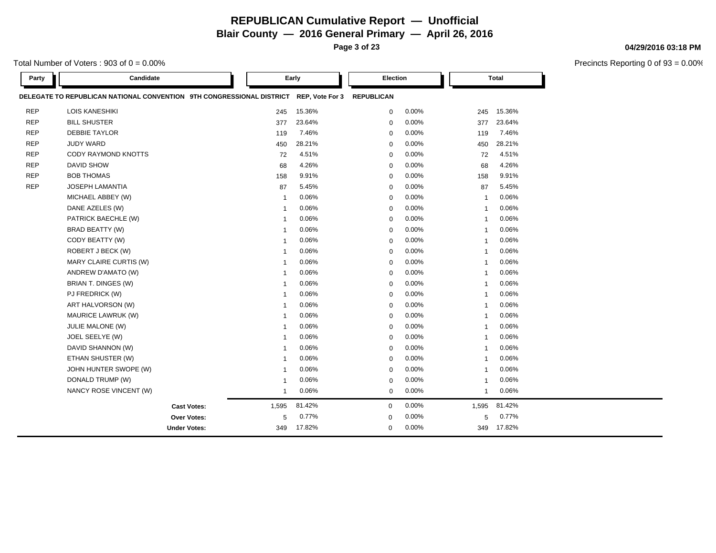**Page 3 of 23**

Total Number of Voters :  $903$  of  $0 = 0.00\%$ 

| Party      | Candidate                                                             |                             | Early           | Election          |       |                | <b>Total</b> |  |
|------------|-----------------------------------------------------------------------|-----------------------------|-----------------|-------------------|-------|----------------|--------------|--|
|            | DELEGATE TO REPUBLICAN NATIONAL CONVENTION 9TH CONGRESSIONAL DISTRICT |                             | REP, Vote For 3 | <b>REPUBLICAN</b> |       |                |              |  |
| <b>REP</b> | <b>LOIS KANESHIKI</b>                                                 | 245                         | 15.36%          | 0                 | 0.00% | 245            | 15.36%       |  |
| <b>REP</b> | <b>BILL SHUSTER</b>                                                   | 377                         | 23.64%          | $\mathbf 0$       | 0.00% | 377            | 23.64%       |  |
| <b>REP</b> | <b>DEBBIE TAYLOR</b>                                                  | 119                         | 7.46%           | $\mathbf 0$       | 0.00% | 119            | 7.46%        |  |
| <b>REP</b> | <b>JUDY WARD</b>                                                      | 450                         | 28.21%          | $\mathbf 0$       | 0.00% | 450            | 28.21%       |  |
| <b>REP</b> | CODY RAYMOND KNOTTS                                                   | 72                          | 4.51%           | $\mathbf 0$       | 0.00% | 72             | 4.51%        |  |
| <b>REP</b> | <b>DAVID SHOW</b>                                                     | 68                          | 4.26%           | $\mathbf 0$       | 0.00% | 68             | 4.26%        |  |
| <b>REP</b> | <b>BOB THOMAS</b>                                                     | 158                         | 9.91%           | $\mathbf 0$       | 0.00% | 158            | 9.91%        |  |
| <b>REP</b> | <b>JOSEPH LAMANTIA</b>                                                | 87                          | 5.45%           | $\mathbf 0$       | 0.00% | 87             | 5.45%        |  |
|            | MICHAEL ABBEY (W)                                                     | $\mathbf{1}$                | 0.06%           | $\mathbf 0$       | 0.00% | -1             | 0.06%        |  |
|            | DANE AZELES (W)                                                       | -1                          | 0.06%           | $\mathbf 0$       | 0.00% | $\mathbf{1}$   | 0.06%        |  |
|            | PATRICK BAECHLE (W)                                                   | -1                          | 0.06%           | $\mathbf 0$       | 0.00% | $\mathbf{1}$   | 0.06%        |  |
|            | <b>BRAD BEATTY (W)</b>                                                | -1                          | 0.06%           | $\mathbf 0$       | 0.00% | $\mathbf{1}$   | 0.06%        |  |
|            | CODY BEATTY (W)                                                       |                             | 0.06%           | $\mathbf 0$       | 0.00% | $\mathbf{1}$   | 0.06%        |  |
|            | ROBERT J BECK (W)                                                     |                             | 0.06%           | $\mathbf 0$       | 0.00% | $\overline{1}$ | 0.06%        |  |
|            | MARY CLAIRE CURTIS (W)                                                | -1                          | 0.06%           | $\mathbf 0$       | 0.00% | -1             | 0.06%        |  |
|            | ANDREW D'AMATO (W)                                                    |                             | 0.06%           | 0                 | 0.00% | $\mathbf{1}$   | 0.06%        |  |
|            | BRIAN T. DINGES (W)                                                   | -1                          | 0.06%           | $\mathbf 0$       | 0.00% | -1             | 0.06%        |  |
|            | PJ FREDRICK (W)                                                       | -1                          | 0.06%           | $\mathbf 0$       | 0.00% | $\mathbf{1}$   | 0.06%        |  |
|            | ART HALVORSON (W)                                                     |                             | 0.06%           | $\mathbf 0$       | 0.00% | $\overline{1}$ | 0.06%        |  |
|            | MAURICE LAWRUK (W)                                                    | -1                          | 0.06%           | 0                 | 0.00% | $\mathbf{1}$   | 0.06%        |  |
|            | <b>JULIE MALONE (W)</b>                                               | -1                          | 0.06%           | $\mathbf 0$       | 0.00% | -1             | 0.06%        |  |
|            | JOEL SEELYE (W)                                                       |                             | 0.06%           | $\mathbf 0$       | 0.00% | $\mathbf{1}$   | 0.06%        |  |
|            | DAVID SHANNON (W)                                                     |                             | 0.06%           | $\mathbf 0$       | 0.00% | -1             | 0.06%        |  |
|            | ETHAN SHUSTER (W)                                                     | -1                          | 0.06%           | 0                 | 0.00% | $\mathbf{1}$   | 0.06%        |  |
|            | JOHN HUNTER SWOPE (W)                                                 |                             | 0.06%           | 0                 | 0.00% | $\mathbf{1}$   | 0.06%        |  |
|            | DONALD TRUMP (W)                                                      |                             | 0.06%           | $\mathbf 0$       | 0.00% | $\overline{1}$ | 0.06%        |  |
|            | NANCY ROSE VINCENT (W)                                                | -1                          | 0.06%           | $\mathbf 0$       | 0.00% | $\mathbf{1}$   | 0.06%        |  |
|            |                                                                       | 1,595<br><b>Cast Votes:</b> | 81.42%          | $\mathbf 0$       | 0.00% | 1,595          | 81.42%       |  |
|            |                                                                       | 5<br><b>Over Votes:</b>     | 0.77%           | 0                 | 0.00% | 5              | 0.77%        |  |
|            | <b>Under Votes:</b>                                                   | 349                         | 17.82%          | $\Omega$          | 0.00% | 349            | 17.82%       |  |

#### **04/29/2016 03:18 PM**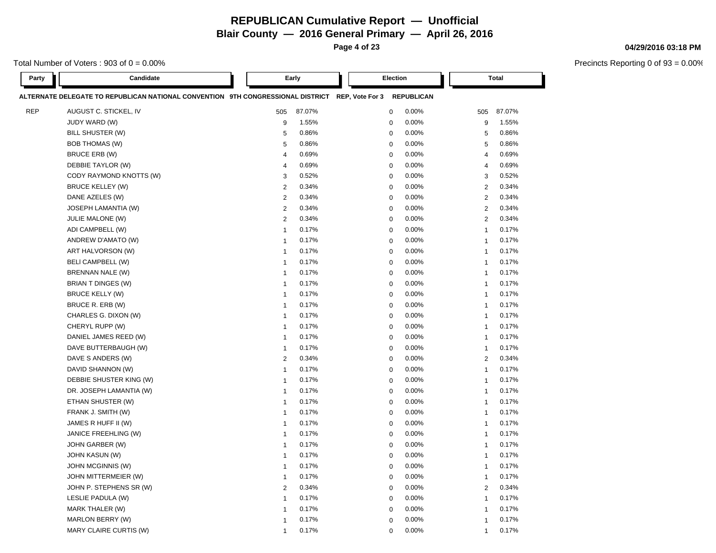**Page 4 of 23**

Total Number of Voters :  $903$  of  $0 = 0.00\%$ 

| Party      | Candidate                                                                                       |                         | Early<br>Election |  |             |                   | <b>Total</b>     |        |
|------------|-------------------------------------------------------------------------------------------------|-------------------------|-------------------|--|-------------|-------------------|------------------|--------|
|            | ALTERNATE DELEGATE TO REPUBLICAN NATIONAL CONVENTION 9TH CONGRESSIONAL DISTRICT REP, Vote For 3 |                         |                   |  |             | <b>REPUBLICAN</b> |                  |        |
| <b>REP</b> | AUGUST C. STICKEL, IV                                                                           | 505                     | 87.07%            |  | $\mathbf 0$ | 0.00%             | 505              | 87.07% |
|            | JUDY WARD (W)                                                                                   | 9                       | 1.55%             |  | $\mathbf 0$ | 0.00%             | $\boldsymbol{9}$ | 1.55%  |
|            | BILL SHUSTER (W)                                                                                | 5                       | 0.86%             |  | 0           | 0.00%             | 5                | 0.86%  |
|            | <b>BOB THOMAS (W)</b>                                                                           | 5                       | 0.86%             |  | $\mathbf 0$ | 0.00%             | 5                | 0.86%  |
|            | <b>BRUCE ERB (W)</b>                                                                            | $\overline{4}$          | 0.69%             |  | 0           | 0.00%             | 4                | 0.69%  |
|            | DEBBIE TAYLOR (W)                                                                               | $\overline{4}$          | 0.69%             |  | $\mathbf 0$ | 0.00%             | 4                | 0.69%  |
|            | CODY RAYMOND KNOTTS (W)                                                                         | 3                       | 0.52%             |  | $\mathbf 0$ | 0.00%             | 3                | 0.52%  |
|            | <b>BRUCE KELLEY (W)</b>                                                                         | $\overline{c}$          | 0.34%             |  | $\mathbf 0$ | 0.00%             | 2                | 0.34%  |
|            | DANE AZELES (W)                                                                                 | $\overline{2}$          | 0.34%             |  | $\mathbf 0$ | 0.00%             | $\overline{2}$   | 0.34%  |
|            | JOSEPH LAMANTIA (W)                                                                             | $\overline{2}$          | 0.34%             |  | $\mathbf 0$ | 0.00%             | 2                | 0.34%  |
|            | JULIE MALONE (W)                                                                                | $\overline{2}$          | 0.34%             |  | $\mathbf 0$ | 0.00%             | 2                | 0.34%  |
|            | ADI CAMPBELL (W)                                                                                | $\mathbf{1}$            | 0.17%             |  | $\mathbf 0$ | 0.00%             | $\mathbf{1}$     | 0.17%  |
|            | ANDREW D'AMATO (W)                                                                              | $\overline{1}$          | 0.17%             |  | $\mathbf 0$ | 0.00%             | $\mathbf{1}$     | 0.17%  |
|            | ART HALVORSON (W)                                                                               | $\overline{1}$          | 0.17%             |  | $\mathbf 0$ | 0.00%             | $\mathbf{1}$     | 0.17%  |
|            | <b>BELI CAMPBELL (W)</b>                                                                        | $\overline{1}$          | 0.17%             |  | $\mathbf 0$ | 0.00%             | $\mathbf{1}$     | 0.17%  |
|            | BRENNAN NALE (W)                                                                                | $\overline{1}$          | 0.17%             |  | $\mathbf 0$ | 0.00%             | $\mathbf{1}$     | 0.17%  |
|            | BRIAN T DINGES (W)                                                                              | $\overline{1}$          | 0.17%             |  | $\mathbf 0$ | 0.00%             | $\mathbf 1$      | 0.17%  |
|            | <b>BRUCE KELLY (W)</b>                                                                          | $\overline{1}$          | 0.17%             |  | $\mathbf 0$ | 0.00%             | $\overline{1}$   | 0.17%  |
|            | BRUCE R. ERB (W)                                                                                | $\overline{1}$          | 0.17%             |  | $\mathbf 0$ | 0.00%             | $\overline{1}$   | 0.17%  |
|            | CHARLES G. DIXON (W)                                                                            | $\overline{1}$          | 0.17%             |  | $\mathbf 0$ | 0.00%             | $\overline{1}$   | 0.17%  |
|            | CHERYL RUPP (W)                                                                                 | $\overline{1}$          | 0.17%             |  | $\mathbf 0$ | 0.00%             | $\mathbf{1}$     | 0.17%  |
|            | DANIEL JAMES REED (W)                                                                           | $\overline{1}$          | 0.17%             |  | $\mathbf 0$ | 0.00%             | $\overline{1}$   | 0.17%  |
|            | DAVE BUTTERBAUGH (W)                                                                            | $\overline{1}$          | 0.17%             |  | $\mathbf 0$ | 0.00%             | $\mathbf 1$      | 0.17%  |
|            | DAVE S ANDERS (W)                                                                               | $\overline{2}$          | 0.34%             |  | $\mathbf 0$ | 0.00%             | 2                | 0.34%  |
|            | DAVID SHANNON (W)                                                                               | $\overline{1}$          | 0.17%             |  | $\mathbf 0$ | 0.00%             | $\mathbf{1}$     | 0.17%  |
|            | DEBBIE SHUSTER KING (W)                                                                         | $\overline{1}$          | 0.17%             |  | $\mathbf 0$ | 0.00%             | $\mathbf{1}$     | 0.17%  |
|            | DR. JOSEPH LAMANTIA (W)                                                                         | $\overline{1}$          | 0.17%             |  | $\mathbf 0$ | 0.00%             | $\mathbf{1}$     | 0.17%  |
|            | ETHAN SHUSTER (W)                                                                               | $\overline{1}$          | 0.17%             |  | $\mathbf 0$ | 0.00%             | $\mathbf{1}$     | 0.17%  |
|            | FRANK J. SMITH (W)                                                                              | $\overline{1}$          | 0.17%             |  | 0           | 0.00%             | 1                | 0.17%  |
|            | JAMES R HUFF II (W)                                                                             | $\overline{1}$          | 0.17%             |  | $\mathbf 0$ | 0.00%             | $\mathbf{1}$     | 0.17%  |
|            | JANICE FREEHLING (W)                                                                            | $\overline{1}$          | 0.17%             |  | $\mathbf 0$ | 0.00%             | $\overline{1}$   | 0.17%  |
|            | JOHN GARBER (W)                                                                                 | $\overline{1}$          | 0.17%             |  | $\mathbf 0$ | 0.00%             | $\mathbf{1}$     | 0.17%  |
|            | JOHN KASUN (W)                                                                                  | $\overline{1}$          | 0.17%             |  | $\mathbf 0$ | 0.00%             | $\overline{1}$   | 0.17%  |
|            | JOHN MCGINNIS (W)                                                                               | $\overline{1}$          | 0.17%             |  | $\mathbf 0$ | 0.00%             | $\mathbf 1$      | 0.17%  |
|            | JOHN MITTERMEIER (W)                                                                            | $\overline{1}$          | 0.17%             |  | $\mathbf 0$ | 0.00%             | $\overline{1}$   | 0.17%  |
|            | JOHN P. STEPHENS SR (W)                                                                         | $\overline{2}$          | 0.34%             |  | $\mathbf 0$ | 0.00%             | 2                | 0.34%  |
|            | LESLIE PADULA (W)                                                                               | $\mathbf{1}$            | 0.17%             |  | $\mathbf 0$ | 0.00%             | $\mathbf{1}$     | 0.17%  |
|            | MARK THALER (W)                                                                                 | $\overline{1}$          | 0.17%             |  | $\mathbf 0$ | 0.00%             | $\mathbf{1}$     | 0.17%  |
|            | MARLON BERRY (W)                                                                                | $\overline{\mathbf{1}}$ | 0.17%             |  | $\mathbf 0$ | 0.00%             | $\mathbf{1}$     | 0.17%  |
|            | MARY CLAIRE CURTIS (W)                                                                          | $\overline{1}$          | 0.17%             |  | $\Omega$    | 0.00%             | $\mathbf{1}$     | 0.17%  |

#### **04/29/2016 03:18 PM**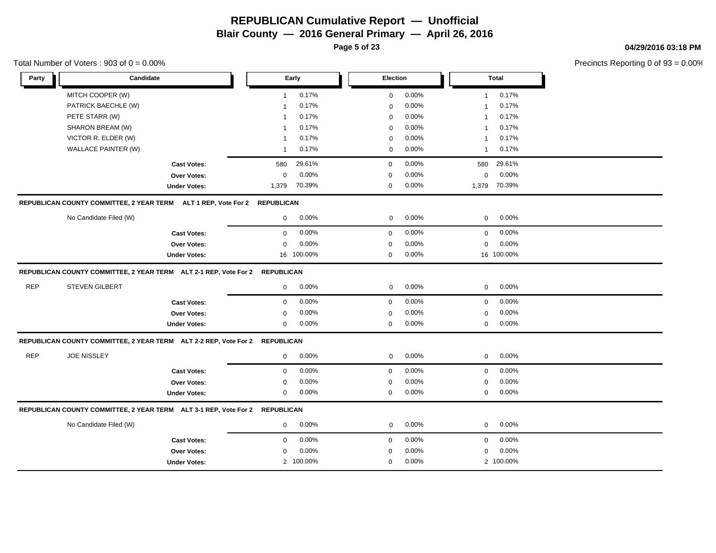**Page 5 of 23**

Total Number of Voters :  $903$  of  $0 = 0.00\%$ 

#### **04/29/2016 03:18 PM**

| Party      | Candidate                                                                   |                     |              | Early      | Election    |       |              | <b>Total</b> |  |
|------------|-----------------------------------------------------------------------------|---------------------|--------------|------------|-------------|-------|--------------|--------------|--|
|            | MITCH COOPER (W)                                                            |                     | $\mathbf{1}$ | 0.17%      | 0           | 0.00% | $\mathbf{1}$ | 0.17%        |  |
|            | PATRICK BAECHLE (W)                                                         |                     | 1            | 0.17%      | 0           | 0.00% | 1            | 0.17%        |  |
|            | PETE STARR (W)                                                              |                     |              | 0.17%      | 0           | 0.00% | 1            | 0.17%        |  |
|            | SHARON BREAM (W)                                                            |                     |              | 0.17%      | $\mathbf 0$ | 0.00% | 1            | 0.17%        |  |
|            | VICTOR R. ELDER (W)                                                         |                     | 1            | 0.17%      | 0           | 0.00% | 1            | 0.17%        |  |
|            | WALLACE PAINTER (W)                                                         |                     | $\mathbf{1}$ | 0.17%      | 0           | 0.00% | $\mathbf{1}$ | 0.17%        |  |
|            |                                                                             | <b>Cast Votes:</b>  | 580          | 29.61%     | $\mathbf 0$ | 0.00% | 580          | 29.61%       |  |
|            |                                                                             | Over Votes:         | 0            | 0.00%      | $\mathbf 0$ | 0.00% | 0            | 0.00%        |  |
|            |                                                                             | <b>Under Votes:</b> | 1,379        | 70.39%     | $\mathbf 0$ | 0.00% | 1,379        | 70.39%       |  |
|            | REPUBLICAN COUNTY COMMITTEE, 2 YEAR TERM ALT 1 REP, Vote For 2 REPUBLICAN   |                     |              |            |             |       |              |              |  |
|            | No Candidate Filed (W)                                                      |                     | $\mathbf 0$  | 0.00%      | $\mathbf 0$ | 0.00% | $\mathbf 0$  | 0.00%        |  |
|            |                                                                             | <b>Cast Votes:</b>  | $\mathbf 0$  | 0.00%      | $\mathbf 0$ | 0.00% | $\mathbf 0$  | 0.00%        |  |
|            |                                                                             | Over Votes:         | $\mathbf 0$  | 0.00%      | $\mathbf 0$ | 0.00% | $\mathbf 0$  | 0.00%        |  |
|            |                                                                             | <b>Under Votes:</b> |              | 16 100.00% | $\mathbf 0$ | 0.00% |              | 16 100.00%   |  |
|            | REPUBLICAN COUNTY COMMITTEE, 2 YEAR TERM ALT 2-1 REP, Vote For 2 REPUBLICAN |                     |              |            |             |       |              |              |  |
| <b>REP</b> | <b>STEVEN GILBERT</b>                                                       |                     | $\mathbf 0$  | 0.00%      | 0           | 0.00% | 0            | $0.00\%$     |  |
|            |                                                                             | <b>Cast Votes:</b>  | $\mathbf 0$  | 0.00%      | $\mathbf 0$ | 0.00% | 0            | 0.00%        |  |
|            |                                                                             | Over Votes:         | 0            | 0.00%      | $\mathbf 0$ | 0.00% | 0            | 0.00%        |  |
|            |                                                                             | <b>Under Votes:</b> | 0            | 0.00%      | $\mathbf 0$ | 0.00% | 0            | 0.00%        |  |
|            | REPUBLICAN COUNTY COMMITTEE, 2 YEAR TERM ALT 2-2 REP, Vote For 2 REPUBLICAN |                     |              |            |             |       |              |              |  |
| <b>REP</b> | <b>JOE NISSLEY</b>                                                          |                     | $\mathbf 0$  | 0.00%      | 0           | 0.00% | 0            | 0.00%        |  |
|            |                                                                             | <b>Cast Votes:</b>  | $\mathbf{0}$ | 0.00%      | $\mathbf 0$ | 0.00% | 0            | 0.00%        |  |
|            |                                                                             | Over Votes:         | 0            | 0.00%      | $\mathbf 0$ | 0.00% | 0            | 0.00%        |  |
|            |                                                                             | <b>Under Votes:</b> | $\mathbf 0$  | 0.00%      | $\mathbf 0$ | 0.00% | 0            | 0.00%        |  |
|            | REPUBLICAN COUNTY COMMITTEE, 2 YEAR TERM ALT 3-1 REP, Vote For 2 REPUBLICAN |                     |              |            |             |       |              |              |  |
|            | No Candidate Filed (W)                                                      |                     | $\mathbf 0$  | 0.00%      | $\mathbf 0$ | 0.00% | $\mathbf 0$  | 0.00%        |  |
|            |                                                                             | <b>Cast Votes:</b>  | $\mathbf 0$  | 0.00%      | $\mathbf 0$ | 0.00% | $\mathbf 0$  | 0.00%        |  |
|            |                                                                             | Over Votes:         | $\Omega$     | 0.00%      | $\mathbf 0$ | 0.00% | $\mathbf 0$  | 0.00%        |  |
|            |                                                                             | <b>Under Votes:</b> |              | 2 100.00%  | $\Omega$    | 0.00% |              | 2 100.00%    |  |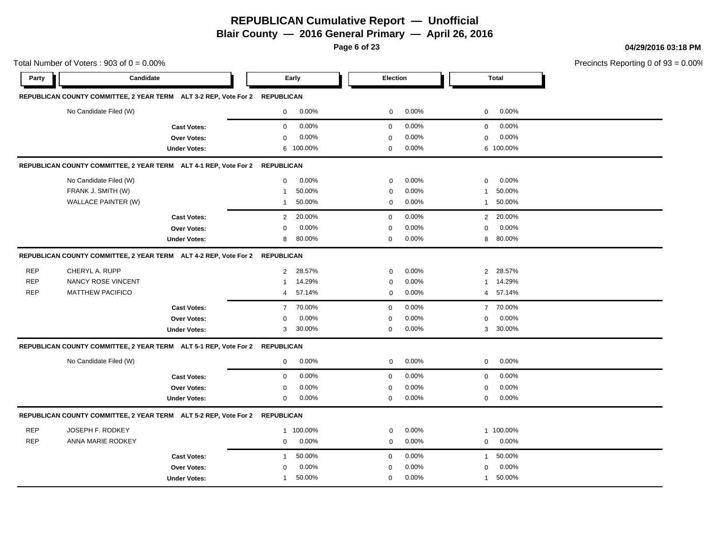**Blair County — 2016 General Primary — April 26, 2016**

**Page 6 of 23**

**04/29/2016 03:18 PM**

|            | Total Number of Voters: $903$ of $0 = 0.00\%$                               |                     |                   |           |             |       |                |              | Precincts Reporting 0 of |
|------------|-----------------------------------------------------------------------------|---------------------|-------------------|-----------|-------------|-------|----------------|--------------|--------------------------|
| Party      | Candidate                                                                   |                     |                   | Early     | Election    |       |                | <b>Total</b> |                          |
|            | REPUBLICAN COUNTY COMMITTEE, 2 YEAR TERM ALT 3-2 REP, Vote For 2 REPUBLICAN |                     |                   |           |             |       |                |              |                          |
|            | No Candidate Filed (W)                                                      |                     | $\mathbf 0$       | 0.00%     | 0           | 0.00% | $\mathbf 0$    | 0.00%        |                          |
|            |                                                                             | <b>Cast Votes:</b>  | $\mathbf 0$       | 0.00%     | $\mathbf 0$ | 0.00% | $\mathbf{0}$   | 0.00%        |                          |
|            |                                                                             | Over Votes:         | $\mathbf 0$       | 0.00%     | $\mathbf 0$ | 0.00% | $\mathbf 0$    | 0.00%        |                          |
|            |                                                                             | <b>Under Votes:</b> |                   | 6 100.00% | $\mathbf 0$ | 0.00% |                | 6 100.00%    |                          |
|            | REPUBLICAN COUNTY COMMITTEE, 2 YEAR TERM ALT 4-1 REP, Vote For 2            |                     | <b>REPUBLICAN</b> |           |             |       |                |              |                          |
|            | No Candidate Filed (W)                                                      |                     | $\mathbf 0$       | $0.00\%$  | $\mathbf 0$ | 0.00% | 0              | $0.00\%$     |                          |
|            | FRANK J. SMITH (W)                                                          |                     | $\mathbf{1}$      | 50.00%    | $\pmb{0}$   | 0.00% | 1              | 50.00%       |                          |
|            | WALLACE PAINTER (W)                                                         |                     | $\mathbf{1}$      | 50.00%    | 0           | 0.00% | 1              | 50.00%       |                          |
|            |                                                                             | <b>Cast Votes:</b>  | $\overline{2}$    | 20.00%    | $\mathbf 0$ | 0.00% | $\overline{2}$ | 20.00%       |                          |
|            |                                                                             | Over Votes:         | $\mathbf 0$       | 0.00%     | $\mathbf 0$ | 0.00% | 0              | 0.00%        |                          |
|            |                                                                             | <b>Under Votes:</b> | 8                 | 80.00%    | $\mathbf 0$ | 0.00% | 8              | 80.00%       |                          |
|            | REPUBLICAN COUNTY COMMITTEE, 2 YEAR TERM ALT 4-2 REP, Vote For 2 REPUBLICAN |                     |                   |           |             |       |                |              |                          |
| <b>REP</b> | CHERYL A. RUPP                                                              |                     |                   | 2 28.57%  | 0           | 0.00% |                | 2 28.57%     |                          |
| <b>REP</b> | <b>NANCY ROSE VINCENT</b>                                                   |                     | 1                 | 14.29%    | $\mathbf 0$ | 0.00% | $\mathbf{1}$   | 14.29%       |                          |
| <b>REP</b> | <b>MATTHEW PACIFICO</b>                                                     |                     | 4                 | 57.14%    | $\mathbf 0$ | 0.00% | $\overline{4}$ | 57.14%       |                          |
|            |                                                                             | <b>Cast Votes:</b>  | $\overline{7}$    | 70.00%    | $\mathbf 0$ | 0.00% | $\overline{7}$ | 70.00%       |                          |
|            |                                                                             | Over Votes:         | $\mathbf 0$       | 0.00%     | $\mathbf 0$ | 0.00% | 0              | 0.00%        |                          |
|            |                                                                             | <b>Under Votes:</b> | 3                 | 30.00%    | 0           | 0.00% |                | 3 30.00%     |                          |
|            | REPUBLICAN COUNTY COMMITTEE, 2 YEAR TERM ALT 5-1 REP, Vote For 2            |                     | <b>REPUBLICAN</b> |           |             |       |                |              |                          |
|            | No Candidate Filed (W)                                                      |                     | 0                 | 0.00%     | 0           | 0.00% | $\mathbf 0$    | 0.00%        |                          |
|            |                                                                             | <b>Cast Votes:</b>  | 0                 | 0.00%     | $\mathbf 0$ | 0.00% | 0              | 0.00%        |                          |
|            |                                                                             | <b>Over Votes:</b>  | $\mathbf 0$       | 0.00%     | 0           | 0.00% | 0              | 0.00%        |                          |
|            |                                                                             | <b>Under Votes:</b> | $\mathbf 0$       | 0.00%     | $\mathbf 0$ | 0.00% | 0              | 0.00%        |                          |
|            | REPUBLICAN COUNTY COMMITTEE, 2 YEAR TERM ALT 5-2 REP, Vote For 2            |                     | <b>REPUBLICAN</b> |           |             |       |                |              |                          |
| <b>REP</b> | JOSEPH F. RODKEY                                                            |                     |                   | 1 100.00% | 0           | 0.00% |                | 1 100.00%    |                          |
| <b>REP</b> | <b>ANNA MARIE RODKEY</b>                                                    |                     | $\mathbf 0$       | 0.00%     | 0           | 0.00% | $\mathbf{0}$   | 0.00%        |                          |
|            |                                                                             | <b>Cast Votes:</b>  | $\mathbf{1}$      | 50.00%    | $\mathbf 0$ | 0.00% | $\mathbf{1}$   | 50.00%       |                          |
|            |                                                                             | Over Votes:         | $\Omega$          | 0.00%     | $\Omega$    | 0.00% | $\Omega$       | 0.00%        |                          |
|            |                                                                             | <b>Under Votes:</b> | 1                 | 50.00%    | 0           | 0.00% | $\mathbf{1}$   | 50.00%       |                          |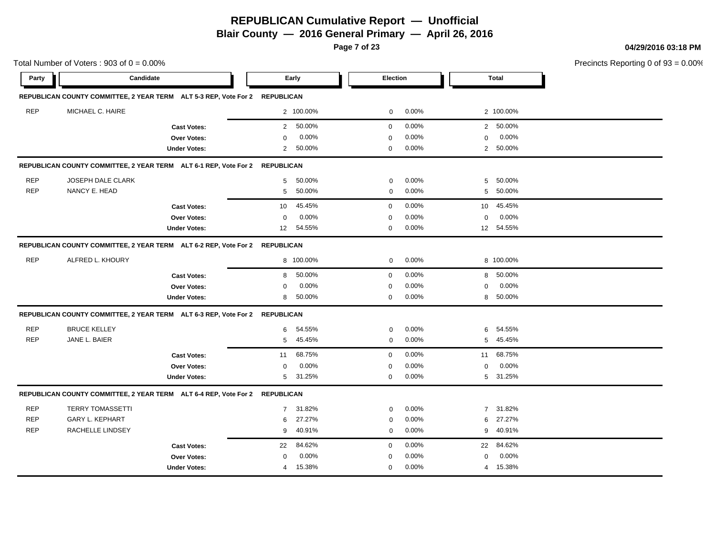**Blair County — 2016 General Primary — April 26, 2016**

**Page 7 of 23**

**04/29/2016 03:18 PM**

|            | Total Number of Voters: $903$ of $0 = 0.00\%$                               |                     |                  |           |             |       |                |              | Precincts Reporting 0 of |
|------------|-----------------------------------------------------------------------------|---------------------|------------------|-----------|-------------|-------|----------------|--------------|--------------------------|
| Party      | Candidate                                                                   |                     |                  | Early     | Election    |       |                | <b>Total</b> |                          |
|            | REPUBLICAN COUNTY COMMITTEE, 2 YEAR TERM ALT 5-3 REP, Vote For 2 REPUBLICAN |                     |                  |           |             |       |                |              |                          |
| <b>REP</b> | MICHAEL C. HAIRE                                                            |                     |                  | 2 100.00% | 0           | 0.00% |                | 2 100.00%    |                          |
|            |                                                                             | <b>Cast Votes:</b>  | 2                | 50.00%    | $\mathbf 0$ | 0.00% |                | 2 50.00%     |                          |
|            |                                                                             | Over Votes:         | 0                | 0.00%     | $\mathbf 0$ | 0.00% | 0              | 0.00%        |                          |
|            |                                                                             | <b>Under Votes:</b> | $\overline{2}$   | 50.00%    | 0           | 0.00% |                | 2 50.00%     |                          |
|            | REPUBLICAN COUNTY COMMITTEE, 2 YEAR TERM ALT 6-1 REP, Vote For 2 REPUBLICAN |                     |                  |           |             |       |                |              |                          |
| <b>REP</b> | <b>JOSEPH DALE CLARK</b>                                                    |                     | 5                | 50.00%    | $\mathbf 0$ | 0.00% | 5              | 50.00%       |                          |
| <b>REP</b> | NANCY E. HEAD                                                               |                     | 5                | 50.00%    | $\mathbf 0$ | 0.00% | 5              | 50.00%       |                          |
|            |                                                                             | <b>Cast Votes:</b>  | 10               | 45.45%    | $\mathbf 0$ | 0.00% | 10             | 45.45%       |                          |
|            |                                                                             | Over Votes:         | $\mathbf 0$      | 0.00%     | $\mathbf 0$ | 0.00% | $\mathbf 0$    | 0.00%        |                          |
|            |                                                                             | <b>Under Votes:</b> | 12 <sup>12</sup> | 54.55%    | $\mathbf 0$ | 0.00% |                | 12 54.55%    |                          |
|            | REPUBLICAN COUNTY COMMITTEE, 2 YEAR TERM ALT 6-2 REP, Vote For 2 REPUBLICAN |                     |                  |           |             |       |                |              |                          |
| <b>REP</b> | ALFRED L. KHOURY                                                            |                     |                  | 8 100.00% | 0           | 0.00% |                | 8 100.00%    |                          |
|            |                                                                             | <b>Cast Votes:</b>  | 8                | 50.00%    | $\mathbf 0$ | 0.00% | 8              | 50.00%       |                          |
|            |                                                                             | Over Votes:         | $\mathbf 0$      | 0.00%     | 0           | 0.00% | 0              | 0.00%        |                          |
|            |                                                                             | <b>Under Votes:</b> | 8                | 50.00%    | $\mathbf 0$ | 0.00% | 8              | 50.00%       |                          |
|            | REPUBLICAN COUNTY COMMITTEE, 2 YEAR TERM ALT 6-3 REP, Vote For 2 REPUBLICAN |                     |                  |           |             |       |                |              |                          |
| <b>REP</b> | <b>BRUCE KELLEY</b>                                                         |                     | 6                | 54.55%    | $\mathbf 0$ | 0.00% | 6              | 54.55%       |                          |
| <b>REP</b> | JANE L. BAIER                                                               |                     | 5                | 45.45%    | $\mathbf 0$ | 0.00% | 5              | 45.45%       |                          |
|            |                                                                             | <b>Cast Votes:</b>  | 11               | 68.75%    | $\mathbf 0$ | 0.00% | 11             | 68.75%       |                          |
|            |                                                                             | Over Votes:         | $\mathbf 0$      | 0.00%     | $\mathbf 0$ | 0.00% | $\mathbf 0$    | 0.00%        |                          |
|            |                                                                             | <b>Under Votes:</b> | 5                | 31.25%    | 0           | 0.00% |                | 5 31.25%     |                          |
|            | REPUBLICAN COUNTY COMMITTEE, 2 YEAR TERM ALT 6-4 REP, Vote For 2 REPUBLICAN |                     |                  |           |             |       |                |              |                          |
| <b>REP</b> | <b>TERRY TOMASSETTI</b>                                                     |                     | $\overline{7}$   | 31.82%    | $\mathbf 0$ | 0.00% | $\overline{7}$ | 31.82%       |                          |
| <b>REP</b> | <b>GARY L. KEPHART</b>                                                      |                     | 6                | 27.27%    | $\mathbf 0$ | 0.00% | 6              | 27.27%       |                          |
| <b>REP</b> | <b>RACHELLE LINDSEY</b>                                                     |                     | 9                | 40.91%    | $\mathbf 0$ | 0.00% | 9              | 40.91%       |                          |
|            |                                                                             | <b>Cast Votes:</b>  | 22               | 84.62%    | $\mathbf 0$ | 0.00% | 22             | 84.62%       |                          |
|            |                                                                             | Over Votes:         | $\mathbf 0$      | 0.00%     | $\mathbf 0$ | 0.00% | $\mathbf 0$    | 0.00%        |                          |
|            |                                                                             | <b>Under Votes:</b> | $\overline{4}$   | 15.38%    | $\mathbf 0$ | 0.00% |                | 4 15.38%     |                          |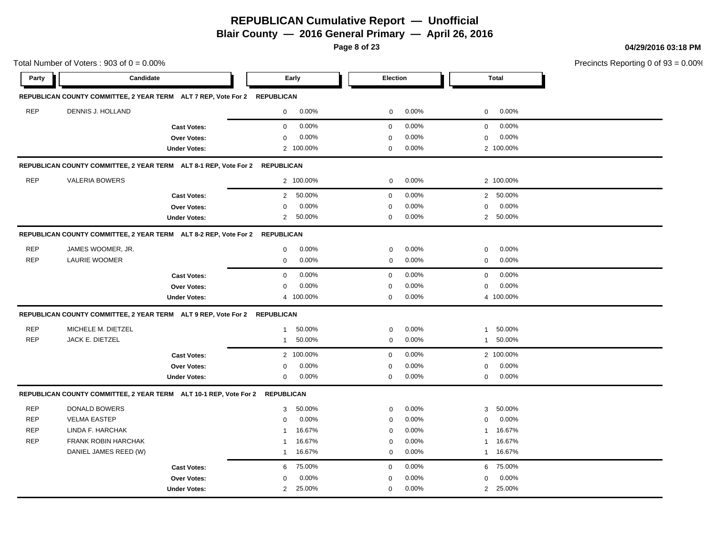**Blair County — 2016 General Primary — April 26, 2016**

**Page 8 of 23**

**04/29/2016 03:18 PM**

|            | Total Number of Voters: $903$ of $0 = 0.00\%$                                |                     |                |           |             |          |                |              | Precincts Reporting 0 of |
|------------|------------------------------------------------------------------------------|---------------------|----------------|-----------|-------------|----------|----------------|--------------|--------------------------|
| Party      | Candidate                                                                    |                     |                | Early     | Election    |          |                | <b>Total</b> |                          |
|            | REPUBLICAN COUNTY COMMITTEE, 2 YEAR TERM ALT 7 REP, Vote For 2 REPUBLICAN    |                     |                |           |             |          |                |              |                          |
| <b>REP</b> | DENNIS J. HOLLAND                                                            |                     | $\mathbf 0$    | 0.00%     | $\mathbf 0$ | 0.00%    | 0              | 0.00%        |                          |
|            |                                                                              | <b>Cast Votes:</b>  | $\mathbf 0$    | 0.00%     | $\mathbf 0$ | 0.00%    | 0              | 0.00%        |                          |
|            |                                                                              | Over Votes:         | $\mathbf 0$    | 0.00%     | 0           | 0.00%    | 0              | 0.00%        |                          |
|            |                                                                              | <b>Under Votes:</b> |                | 2 100.00% | $\mathbf 0$ | 0.00%    |                | 2 100.00%    |                          |
|            | REPUBLICAN COUNTY COMMITTEE, 2 YEAR TERM ALT 8-1 REP, Vote For 2 REPUBLICAN  |                     |                |           |             |          |                |              |                          |
| <b>REP</b> | <b>VALERIA BOWERS</b>                                                        |                     |                | 2 100.00% | $\mathbf 0$ | 0.00%    |                | 2 100.00%    |                          |
|            |                                                                              | <b>Cast Votes:</b>  | $\overline{2}$ | 50.00%    | 0           | 0.00%    |                | 2 50.00%     |                          |
|            |                                                                              | Over Votes:         | $\mathbf 0$    | 0.00%     | $\mathbf 0$ | 0.00%    | $\mathbf 0$    | 0.00%        |                          |
|            |                                                                              | <b>Under Votes:</b> | $\overline{2}$ | 50.00%    | 0           | 0.00%    |                | 2 50.00%     |                          |
|            | REPUBLICAN COUNTY COMMITTEE, 2 YEAR TERM ALT 8-2 REP, Vote For 2 REPUBLICAN  |                     |                |           |             |          |                |              |                          |
| <b>REP</b> | JAMES WOOMER, JR.                                                            |                     | $\mathbf 0$    | 0.00%     | $\mathbf 0$ | 0.00%    | 0              | 0.00%        |                          |
| <b>REP</b> | <b>LAURIE WOOMER</b>                                                         |                     | $\mathbf 0$    | 0.00%     | $\mathbf 0$ | 0.00%    | 0              | 0.00%        |                          |
|            |                                                                              | <b>Cast Votes:</b>  | $\mathbf 0$    | 0.00%     | $\mathbf 0$ | 0.00%    | $\mathbf 0$    | 0.00%        |                          |
|            |                                                                              | Over Votes:         | 0              | 0.00%     | 0           | 0.00%    | 0              | 0.00%        |                          |
|            |                                                                              | <b>Under Votes:</b> |                | 4 100.00% | $\mathbf 0$ | 0.00%    |                | 4 100.00%    |                          |
|            | REPUBLICAN COUNTY COMMITTEE, 2 YEAR TERM ALT 9 REP, Vote For 2 REPUBLICAN    |                     |                |           |             |          |                |              |                          |
| <b>REP</b> | MICHELE M. DIETZEL                                                           |                     | $\mathbf{1}$   | 50.00%    | $\mathbf 0$ | 0.00%    | $\mathbf{1}$   | 50.00%       |                          |
| <b>REP</b> | JACK E. DIETZEL                                                              |                     | $\mathbf{1}$   | 50.00%    | $\mathbf 0$ | 0.00%    | $\mathbf{1}$   | 50.00%       |                          |
|            |                                                                              | <b>Cast Votes:</b>  |                | 2 100.00% | $\mathbf 0$ | 0.00%    |                | 2 100.00%    |                          |
|            |                                                                              | Over Votes:         | $\mathbf 0$    | 0.00%     | $\mathbf 0$ | 0.00%    | $\mathbf 0$    | 0.00%        |                          |
|            |                                                                              | <b>Under Votes:</b> | $\mathbf 0$    | 0.00%     | $\mathbf 0$ | $0.00\%$ | 0              | 0.00%        |                          |
|            | REPUBLICAN COUNTY COMMITTEE, 2 YEAR TERM ALT 10-1 REP, Vote For 2 REPUBLICAN |                     |                |           |             |          |                |              |                          |
| <b>REP</b> | DONALD BOWERS                                                                |                     | 3              | 50.00%    | $\mathbf 0$ | 0.00%    | 3              | 50.00%       |                          |
| <b>REP</b> | <b>VELMA EASTEP</b>                                                          |                     | $\mathbf 0$    | 0.00%     | $\Omega$    | 0.00%    | $\mathbf 0$    | 0.00%        |                          |
| <b>REP</b> | LINDA F. HARCHAK                                                             |                     | $\mathbf 1$    | 16.67%    | $\mathbf 0$ | 0.00%    | 1              | 16.67%       |                          |
| <b>REP</b> | FRANK ROBIN HARCHAK                                                          |                     | -1             | 16.67%    | $\mathbf 0$ | 0.00%    | $\mathbf{1}$   | 16.67%       |                          |
|            | DANIEL JAMES REED (W)                                                        |                     | $\mathbf{1}$   | 16.67%    | $\Omega$    | 0.00%    | $\mathbf{1}$   | 16.67%       |                          |
|            |                                                                              | <b>Cast Votes:</b>  | 6              | 75.00%    | 0           | 0.00%    | 6              | 75.00%       |                          |
|            |                                                                              | Over Votes:         | $\Omega$       | 0.00%     | $\mathbf 0$ | 0.00%    | $\Omega$       | 0.00%        |                          |
|            |                                                                              | <b>Under Votes:</b> | $\overline{2}$ | 25.00%    | 0           | 0.00%    | $\overline{2}$ | 25.00%       |                          |
|            |                                                                              |                     |                |           |             |          |                |              |                          |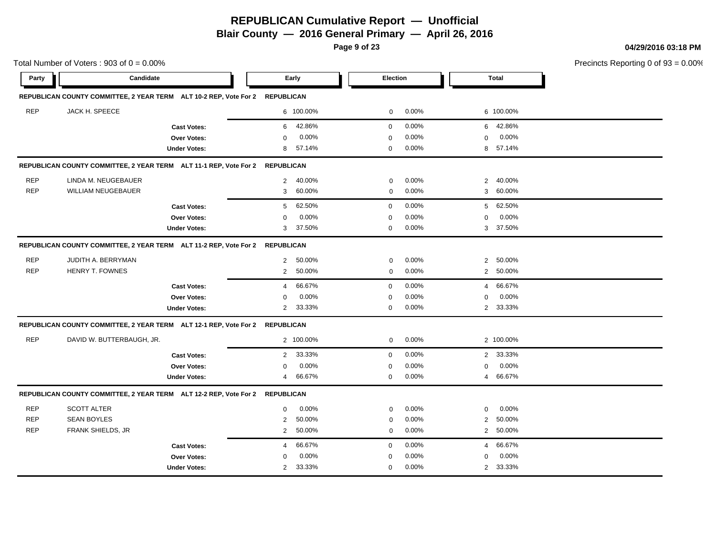**Blair County — 2016 General Primary — April 26, 2016**

**Page 9 of 23**

**04/29/2016 03:18 PM**

|            | Total Number of Voters: $903$ of $0 = 0.00\%$                                |                     |                          |             |       |                         |              | Precincts Reporting 0 of |
|------------|------------------------------------------------------------------------------|---------------------|--------------------------|-------------|-------|-------------------------|--------------|--------------------------|
| Party      | Candidate                                                                    |                     | Early                    | Election    |       |                         | <b>Total</b> |                          |
|            | REPUBLICAN COUNTY COMMITTEE, 2 YEAR TERM ALT 10-2 REP, Vote For 2 REPUBLICAN |                     |                          |             |       |                         |              |                          |
| <b>REP</b> | JACK H. SPEECE                                                               |                     | 6 100.00%                | 0           | 0.00% |                         | 6 100.00%    |                          |
|            |                                                                              | <b>Cast Votes:</b>  | 42.86%<br>6              | $\mathbf 0$ | 0.00% | 6                       | 42.86%       |                          |
|            |                                                                              | Over Votes:         | 0.00%<br>$\mathbf 0$     | $\Omega$    | 0.00% | 0                       | 0.00%        |                          |
|            |                                                                              | <b>Under Votes:</b> | 57.14%<br>8              | 0           | 0.00% | 8                       | 57.14%       |                          |
|            | REPUBLICAN COUNTY COMMITTEE, 2 YEAR TERM ALT 11-1 REP, Vote For 2 REPUBLICAN |                     |                          |             |       |                         |              |                          |
| <b>REP</b> | LINDA M. NEUGEBAUER                                                          |                     | 40.00%<br>2              | 0           | 0.00% | $\overline{2}$          | 40.00%       |                          |
| <b>REP</b> | <b>WILLIAM NEUGEBAUER</b>                                                    |                     | 60.00%<br>3              | 0           | 0.00% | 3                       | 60.00%       |                          |
|            |                                                                              | <b>Cast Votes:</b>  | 62.50%<br>5              | $\mathbf 0$ | 0.00% | 5                       | 62.50%       |                          |
|            |                                                                              | Over Votes:         | 0.00%<br>$\mathbf 0$     | $\Omega$    | 0.00% | 0                       | 0.00%        |                          |
|            |                                                                              | <b>Under Votes:</b> | 37.50%<br>3              | $\mathbf 0$ | 0.00% | 3                       | 37.50%       |                          |
|            | REPUBLICAN COUNTY COMMITTEE, 2 YEAR TERM ALT 11-2 REP, Vote For 2 REPUBLICAN |                     |                          |             |       |                         |              |                          |
| <b>REP</b> | JUDITH A. BERRYMAN                                                           |                     | 50.00%<br>2              | $\mathbf 0$ | 0.00% | 2                       | 50.00%       |                          |
| <b>REP</b> | <b>HENRY T. FOWNES</b>                                                       |                     | 2<br>50.00%              | $\mathbf 0$ | 0.00% |                         | 2 50.00%     |                          |
|            |                                                                              | <b>Cast Votes:</b>  | 66.67%<br>4              | $\mathbf 0$ | 0.00% | $\overline{4}$          | 66.67%       |                          |
|            |                                                                              | Over Votes:         | 0.00%<br>$\Omega$        | $\mathbf 0$ | 0.00% | $\mathbf 0$             | 0.00%        |                          |
|            |                                                                              | <b>Under Votes:</b> | 33.33%<br>2              | $\mathbf 0$ | 0.00% | 2                       | 33.33%       |                          |
|            | REPUBLICAN COUNTY COMMITTEE, 2 YEAR TERM ALT 12-1 REP, Vote For 2 REPUBLICAN |                     |                          |             |       |                         |              |                          |
| <b>REP</b> | DAVID W. BUTTERBAUGH, JR.                                                    |                     | 2 100.00%                | 0           | 0.00% |                         | 2 100.00%    |                          |
|            |                                                                              | <b>Cast Votes:</b>  | 33.33%<br>$\overline{2}$ | $\mathbf 0$ | 0.00% |                         | 2 33.33%     |                          |
|            |                                                                              | Over Votes:         | 0.00%<br>$\mathbf 0$     | $\Omega$    | 0.00% | $\mathbf 0$             | 0.00%        |                          |
|            |                                                                              | <b>Under Votes:</b> | 66.67%<br>4              | $\mathbf 0$ | 0.00% |                         | 4 66.67%     |                          |
|            | REPUBLICAN COUNTY COMMITTEE, 2 YEAR TERM ALT 12-2 REP, Vote For 2 REPUBLICAN |                     |                          |             |       |                         |              |                          |
| <b>REP</b> | <b>SCOTT ALTER</b>                                                           |                     | 0.00%<br>$\mathbf 0$     | $\mathbf 0$ | 0.00% | $\mathbf{0}$            | 0.00%        |                          |
| <b>REP</b> | <b>SEAN BOYLES</b>                                                           |                     | $\overline{2}$<br>50.00% | 0           | 0.00% | $\overline{\mathbf{c}}$ | 50.00%       |                          |
| <b>REP</b> | FRANK SHIELDS, JR                                                            |                     | $\overline{2}$<br>50.00% | $\mathbf 0$ | 0.00% | 2                       | 50.00%       |                          |
|            |                                                                              | <b>Cast Votes:</b>  | 66.67%<br>4              | $\mathbf 0$ | 0.00% | $\overline{4}$          | 66.67%       |                          |
|            |                                                                              | Over Votes:         | 0.00%<br>$\mathbf 0$     | $\mathbf 0$ | 0.00% | 0                       | 0.00%        |                          |
|            |                                                                              | <b>Under Votes:</b> | 33.33%<br>2              | $\Omega$    | 0.00% |                         | 2 33.33%     |                          |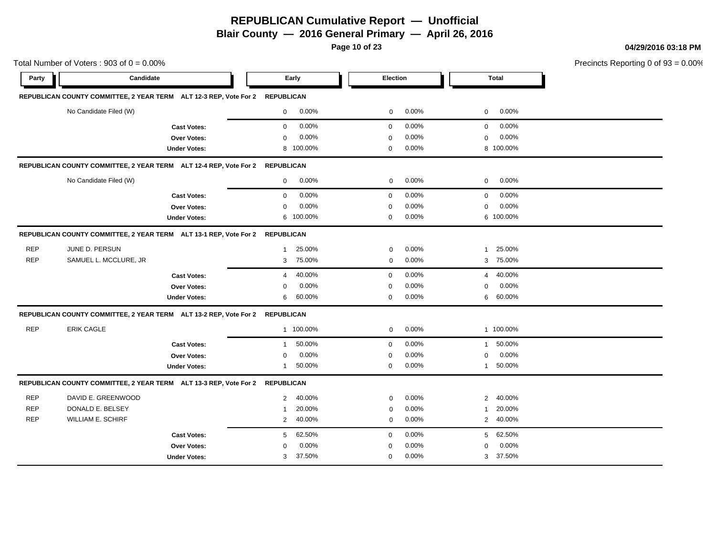**Blair County — 2016 General Primary — April 26, 2016**

**Page 10 of 23**

**04/29/2016 03:18 PM**

|            | Total Number of Voters: $903$ of $0 = 0.00\%$                                |                     |                        |                      |                          | Precincts Reporting 0 of |
|------------|------------------------------------------------------------------------------|---------------------|------------------------|----------------------|--------------------------|--------------------------|
| Party      | Candidate                                                                    |                     | Early                  | Election             | <b>Total</b>             |                          |
|            | REPUBLICAN COUNTY COMMITTEE, 2 YEAR TERM ALT 12-3 REP, Vote For 2 REPUBLICAN |                     |                        |                      |                          |                          |
|            | No Candidate Filed (W)                                                       |                     | $0.00\%$<br>0          | 0.00%<br>0           | 0.00%<br>$\mathbf 0$     |                          |
|            |                                                                              | <b>Cast Votes:</b>  | 0.00%<br>$\mathbf 0$   | 0.00%<br>$\mathbf 0$ | 0.00%<br>$\mathbf 0$     |                          |
|            |                                                                              | <b>Over Votes:</b>  | 0.00%<br>$\Omega$      | 0.00%<br>$\mathbf 0$ | 0.00%<br>$\Omega$        |                          |
|            |                                                                              | <b>Under Votes:</b> | 8 100.00%              | 0.00%<br>$\mathbf 0$ | 8 100.00%                |                          |
|            | REPUBLICAN COUNTY COMMITTEE, 2 YEAR TERM ALT 12-4 REP, Vote For 2 REPUBLICAN |                     |                        |                      |                          |                          |
|            | No Candidate Filed (W)                                                       |                     | 0.00%<br>0             | 0.00%<br>0           | 0.00%<br>$\mathbf 0$     |                          |
|            |                                                                              | <b>Cast Votes:</b>  | 0.00%<br>$\mathbf 0$   | 0.00%<br>$\mathbf 0$ | 0.00%<br>$\mathbf 0$     |                          |
|            |                                                                              | Over Votes:         | 0.00%<br>$\mathbf 0$   | 0.00%<br>$\mathbf 0$ | 0.00%<br>$\mathbf 0$     |                          |
|            |                                                                              | <b>Under Votes:</b> | 6 100.00%              | 0.00%<br>$\mathbf 0$ | 6 100.00%                |                          |
|            | REPUBLICAN COUNTY COMMITTEE, 2 YEAR TERM ALT 13-1 REP, Vote For 2 REPUBLICAN |                     |                        |                      |                          |                          |
| <b>REP</b> | JUNE D. PERSUN                                                               |                     | 25.00%<br>$\mathbf{1}$ | 0.00%<br>$\mathbf 0$ | 25.00%<br>1              |                          |
| <b>REP</b> | SAMUEL L. MCCLURE, JR                                                        |                     | 75.00%<br>3            | 0.00%<br>$\pmb{0}$   | 3 75.00%                 |                          |
|            |                                                                              | <b>Cast Votes:</b>  | 40.00%<br>4            | 0.00%<br>$\mathbf 0$ | 40.00%<br>4              |                          |
|            |                                                                              | Over Votes:         | 0.00%<br>$\Omega$      | 0.00%<br>0           | 0.00%<br>0               |                          |
|            |                                                                              | <b>Under Votes:</b> | 60.00%<br>6            | 0.00%<br>0           | 60.00%<br>6              |                          |
|            | REPUBLICAN COUNTY COMMITTEE, 2 YEAR TERM ALT 13-2 REP, Vote For 2 REPUBLICAN |                     |                        |                      |                          |                          |
| <b>REP</b> | <b>ERIK CAGLE</b>                                                            |                     | 1 100.00%              | 0.00%<br>$\mathbf 0$ | 1 100.00%                |                          |
|            |                                                                              | <b>Cast Votes:</b>  | 50.00%<br>$\mathbf{1}$ | 0.00%<br>$\mathbf 0$ | 50.00%<br>$\mathbf{1}$   |                          |
|            |                                                                              | <b>Over Votes:</b>  | 0.00%<br>$\Omega$      | 0.00%<br>$\mathbf 0$ | $0.00\%$<br>$\Omega$     |                          |
|            |                                                                              | <b>Under Votes:</b> | 50.00%<br>1            | 0.00%<br>0           | 50.00%<br>$\mathbf{1}$   |                          |
|            | REPUBLICAN COUNTY COMMITTEE, 2 YEAR TERM ALT 13-3 REP, Vote For 2 REPUBLICAN |                     |                        |                      |                          |                          |
| <b>REP</b> | DAVID E. GREENWOOD                                                           |                     | 40.00%<br>2            | 0.00%<br>0           | 40.00%<br>2              |                          |
| <b>REP</b> | DONALD E. BELSEY                                                             |                     | 20.00%<br>$\mathbf{1}$ | 0.00%<br>$\mathbf 0$ | 20.00%<br>1              |                          |
| <b>REP</b> | <b>WILLIAM E. SCHIRF</b>                                                     |                     | 40.00%<br>2            | 0.00%<br>$\mathbf 0$ | 40.00%<br>$\overline{2}$ |                          |
|            |                                                                              | <b>Cast Votes:</b>  | 62.50%<br>5            | 0.00%<br>$\mathbf 0$ | 62.50%<br>5              |                          |
|            |                                                                              | Over Votes:         | 0.00%<br>$\Omega$      | 0.00%<br>$\mathbf 0$ | 0.00%<br>$\Omega$        |                          |
|            |                                                                              | <b>Under Votes:</b> | 37.50%<br>3            | 0.00%<br>$\mathbf 0$ | 3 37.50%                 |                          |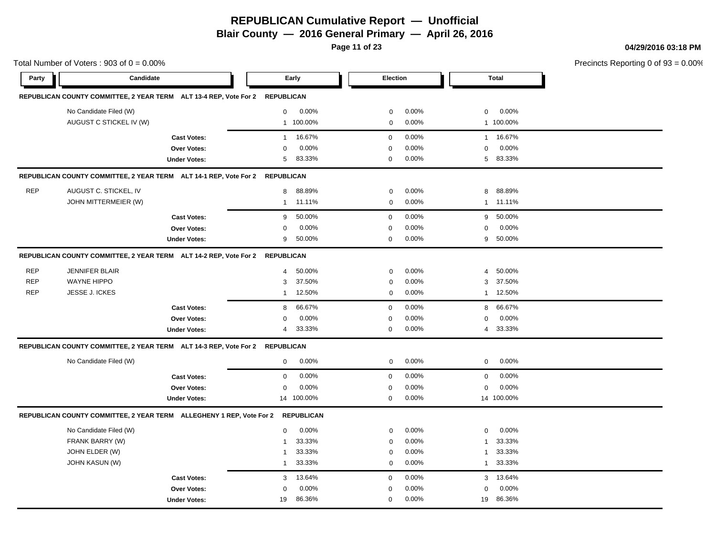**Blair County — 2016 General Primary — April 26, 2016**

**Page 11 of 23**

**04/29/2016 03:18 PM**

|            | Total Number of Voters: $903$ of $0 = 0.00\%$                                |                     |                |                   |             |       |                | Precincts Reporting 0 of |  |
|------------|------------------------------------------------------------------------------|---------------------|----------------|-------------------|-------------|-------|----------------|--------------------------|--|
| Party      | Candidate                                                                    |                     |                | Early             | Election    |       |                | <b>Total</b>             |  |
|            | REPUBLICAN COUNTY COMMITTEE, 2 YEAR TERM ALT 13-4 REP, Vote For 2 REPUBLICAN |                     |                |                   |             |       |                |                          |  |
|            | No Candidate Filed (W)                                                       |                     | 0              | 0.00%             | 0           | 0.00% | 0              | $0.00\%$                 |  |
|            | AUGUST C STICKEL IV (W)                                                      |                     |                | 1 100.00%         | 0           | 0.00% |                | 1 100.00%                |  |
|            |                                                                              | <b>Cast Votes:</b>  | $\mathbf{1}$   | 16.67%            | $\mathbf 0$ | 0.00% | $\mathbf{1}$   | 16.67%                   |  |
|            |                                                                              | Over Votes:         | $\mathbf 0$    | 0.00%             | $\mathbf 0$ | 0.00% | $\Omega$       | 0.00%                    |  |
|            |                                                                              | <b>Under Votes:</b> | 5              | 83.33%            | $\mathbf 0$ | 0.00% | 5              | 83.33%                   |  |
|            | REPUBLICAN COUNTY COMMITTEE, 2 YEAR TERM ALT 14-1 REP, Vote For 2 REPUBLICAN |                     |                |                   |             |       |                |                          |  |
| <b>REP</b> | AUGUST C. STICKEL, IV                                                        |                     | 8              | 88.89%            | 0           | 0.00% | 8              | 88.89%                   |  |
|            | JOHN MITTERMEIER (W)                                                         |                     | $\mathbf{1}$   | 11.11%            | 0           | 0.00% | $\mathbf{1}$   | 11.11%                   |  |
|            |                                                                              | <b>Cast Votes:</b>  | 9              | 50.00%            | $\mathbf 0$ | 0.00% | 9              | 50.00%                   |  |
|            |                                                                              | Over Votes:         | $\Omega$       | 0.00%             | $\mathbf 0$ | 0.00% | 0              | 0.00%                    |  |
|            |                                                                              | <b>Under Votes:</b> | 9              | 50.00%            | $\mathbf 0$ | 0.00% | 9              | 50.00%                   |  |
|            | REPUBLICAN COUNTY COMMITTEE, 2 YEAR TERM ALT 14-2 REP, Vote For 2 REPUBLICAN |                     |                |                   |             |       |                |                          |  |
| <b>REP</b> | <b>JENNIFER BLAIR</b>                                                        |                     | $\overline{4}$ | 50.00%            | 0           | 0.00% | $\overline{4}$ | 50.00%                   |  |
| <b>REP</b> | <b>WAYNE HIPPO</b>                                                           |                     | 3              | 37.50%            | 0           | 0.00% | 3              | 37.50%                   |  |
| <b>REP</b> | <b>JESSE J. ICKES</b>                                                        |                     | $\mathbf{1}$   | 12.50%            | 0           | 0.00% | $\mathbf{1}$   | 12.50%                   |  |
|            |                                                                              | <b>Cast Votes:</b>  | 8              | 66.67%            | $\mathbf 0$ | 0.00% | 8              | 66.67%                   |  |
|            |                                                                              | Over Votes:         | $\mathbf 0$    | 0.00%             | $\mathbf 0$ | 0.00% | $\mathbf 0$    | 0.00%                    |  |
|            |                                                                              | <b>Under Votes:</b> | 4              | 33.33%            | $\mathbf 0$ | 0.00% |                | 4 33.33%                 |  |
|            | REPUBLICAN COUNTY COMMITTEE, 2 YEAR TERM ALT 14-3 REP, Vote For 2 REPUBLICAN |                     |                |                   |             |       |                |                          |  |
|            | No Candidate Filed (W)                                                       |                     | $\mathbf 0$    | 0.00%             | 0           | 0.00% | 0              | 0.00%                    |  |
|            |                                                                              | <b>Cast Votes:</b>  | $\mathbf 0$    | 0.00%             | $\mathbf 0$ | 0.00% | 0              | 0.00%                    |  |
|            |                                                                              | Over Votes:         | 0              | 0.00%             | 0           | 0.00% | 0              | 0.00%                    |  |
|            |                                                                              | <b>Under Votes:</b> |                | 14 100.00%        | $\mathbf 0$ | 0.00% |                | 14 100.00%               |  |
|            | REPUBLICAN COUNTY COMMITTEE, 2 YEAR TERM ALLEGHENY 1 REP, Vote For 2         |                     |                | <b>REPUBLICAN</b> |             |       |                |                          |  |
|            | No Candidate Filed (W)                                                       |                     | $\mathbf 0$    | 0.00%             | 0           | 0.00% | 0              | 0.00%                    |  |
|            | FRANK BARRY (W)                                                              |                     | $\mathbf{1}$   | 33.33%            | 0           | 0.00% | $\mathbf{1}$   | 33.33%                   |  |
|            | JOHN ELDER (W)                                                               |                     | $\mathbf 1$    | 33.33%            | 0           | 0.00% | $\mathbf{1}$   | 33.33%                   |  |
|            | <b>JOHN KASUN (W)</b>                                                        |                     | $\mathbf{1}$   | 33.33%            | $\mathbf 0$ | 0.00% | $\mathbf{1}$   | 33.33%                   |  |
|            |                                                                              | <b>Cast Votes:</b>  | 3              | 13.64%            | $\mathbf 0$ | 0.00% | 3              | 13.64%                   |  |
|            |                                                                              | <b>Over Votes:</b>  | 0              | 0.00%             | 0           | 0.00% | 0              | 0.00%                    |  |
|            |                                                                              | <b>Under Votes:</b> | 19             | 86.36%            | 0           | 0.00% | 19             | 86.36%                   |  |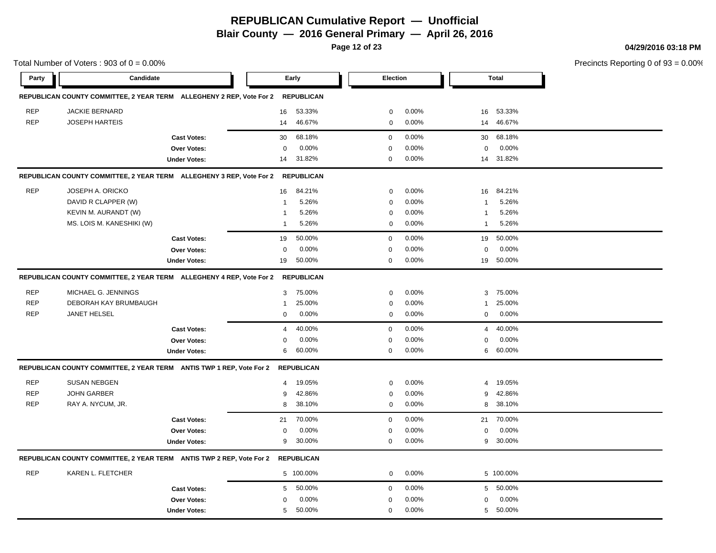**Blair County — 2016 General Primary — April 26, 2016**

**Page 12 of 23**

**04/29/2016 03:18 PM**

|            | Total Number of Voters: $903$ of $0 = 0.00\%$                        |                     |                         |                   |             |       |              |              | Precincts Reporting 0 of 9 |
|------------|----------------------------------------------------------------------|---------------------|-------------------------|-------------------|-------------|-------|--------------|--------------|----------------------------|
| Party      | Candidate                                                            |                     |                         | Early             | Election    |       |              | <b>Total</b> |                            |
|            | REPUBLICAN COUNTY COMMITTEE, 2 YEAR TERM ALLEGHENY 2 REP, Vote For 2 |                     |                         | <b>REPUBLICAN</b> |             |       |              |              |                            |
| <b>REP</b> | <b>JACKIE BERNARD</b>                                                |                     | 16                      | 53.33%            | 0           | 0.00% | 16           | 53.33%       |                            |
| <b>REP</b> | <b>JOSEPH HARTEIS</b>                                                |                     | 14                      | 46.67%            | $\mathbf 0$ | 0.00% | 14           | 46.67%       |                            |
|            |                                                                      | <b>Cast Votes:</b>  | 30                      | 68.18%            | $\mathbf 0$ | 0.00% | 30           | 68.18%       |                            |
|            |                                                                      | Over Votes:         | $\mathbf 0$             | 0.00%             | $\Omega$    | 0.00% | $\mathbf 0$  | 0.00%        |                            |
|            |                                                                      | <b>Under Votes:</b> | 14                      | 31.82%            | 0           | 0.00% |              | 14 31.82%    |                            |
|            | REPUBLICAN COUNTY COMMITTEE, 2 YEAR TERM ALLEGHENY 3 REP, Vote For 2 |                     |                         | <b>REPUBLICAN</b> |             |       |              |              |                            |
| <b>REP</b> | JOSEPH A. ORICKO                                                     |                     | 16                      | 84.21%            | $\mathbf 0$ | 0.00% | 16           | 84.21%       |                            |
|            | DAVID R CLAPPER (W)                                                  |                     | $\overline{1}$          | 5.26%             | $\mathbf 0$ | 0.00% | $\mathbf{1}$ | 5.26%        |                            |
|            | KEVIN M. AURANDT (W)                                                 |                     | $\overline{\mathbf{1}}$ | 5.26%             | $\mathbf 0$ | 0.00% | $\mathbf{1}$ | 5.26%        |                            |
|            | MS. LOIS M. KANESHIKI (W)                                            |                     | $\overline{1}$          | 5.26%             | $\mathbf 0$ | 0.00% | $\mathbf{1}$ | 5.26%        |                            |
|            |                                                                      | <b>Cast Votes:</b>  | 19                      | 50.00%            | 0           | 0.00% | 19           | 50.00%       |                            |
|            |                                                                      | Over Votes:         | 0                       | 0.00%             | $\mathbf 0$ | 0.00% | $\mathbf 0$  | 0.00%        |                            |
|            |                                                                      | <b>Under Votes:</b> | 19                      | 50.00%            | 0           | 0.00% | 19           | 50.00%       |                            |
|            | REPUBLICAN COUNTY COMMITTEE, 2 YEAR TERM ALLEGHENY 4 REP, Vote For 2 |                     |                         | <b>REPUBLICAN</b> |             |       |              |              |                            |
| <b>REP</b> | MICHAEL G. JENNINGS                                                  |                     | 3                       | 75.00%            | 0           | 0.00% | 3            | 75.00%       |                            |
| <b>REP</b> | DEBORAH KAY BRUMBAUGH                                                |                     | $\overline{1}$          | 25.00%            | $\mathbf 0$ | 0.00% | 1            | 25.00%       |                            |
| <b>REP</b> | JANET HELSEL                                                         |                     | 0                       | 0.00%             | $\mathbf 0$ | 0.00% | 0            | 0.00%        |                            |
|            |                                                                      | <b>Cast Votes:</b>  | 4                       | 40.00%            | 0           | 0.00% | 4            | 40.00%       |                            |
|            |                                                                      | Over Votes:         | $\mathbf 0$             | 0.00%             | $\Omega$    | 0.00% | $\Omega$     | 0.00%        |                            |
|            |                                                                      | <b>Under Votes:</b> | 6                       | 60.00%            | 0           | 0.00% | 6            | 60.00%       |                            |
|            | REPUBLICAN COUNTY COMMITTEE, 2 YEAR TERM ANTIS TWP 1 REP, Vote For 2 |                     |                         | <b>REPUBLICAN</b> |             |       |              |              |                            |
| <b>REP</b> | <b>SUSAN NEBGEN</b>                                                  |                     | $\overline{4}$          | 19.05%            | $\mathbf 0$ | 0.00% | 4            | 19.05%       |                            |
| <b>REP</b> | <b>JOHN GARBER</b>                                                   |                     | 9                       | 42.86%            | $\mathbf 0$ | 0.00% | 9            | 42.86%       |                            |
| <b>REP</b> | RAY A. NYCUM, JR.                                                    |                     | 8                       | 38.10%            | $\mathbf 0$ | 0.00% | 8            | 38.10%       |                            |
|            |                                                                      | <b>Cast Votes:</b>  | 21                      | 70.00%            | 0           | 0.00% | 21           | 70.00%       |                            |
|            |                                                                      | Over Votes:         | 0                       | 0.00%             | $\mathbf 0$ | 0.00% | 0            | 0.00%        |                            |
|            |                                                                      | <b>Under Votes:</b> | 9                       | 30.00%            | 0           | 0.00% | 9            | 30.00%       |                            |
|            | REPUBLICAN COUNTY COMMITTEE, 2 YEAR TERM ANTIS TWP 2 REP, Vote For 2 |                     |                         | <b>REPUBLICAN</b> |             |       |              |              |                            |
| <b>REP</b> | KAREN L. FLETCHER                                                    |                     |                         | 5 100.00%         | 0           | 0.00% |              | 5 100.00%    |                            |
|            |                                                                      | <b>Cast Votes:</b>  | 5                       | 50.00%            | 0           | 0.00% |              | 5 50.00%     |                            |
|            |                                                                      | Over Votes:         | $\mathbf 0$             | 0.00%             | 0           | 0.00% | $\mathbf 0$  | 0.00%        |                            |
|            |                                                                      | <b>Under Votes:</b> | 5                       | 50.00%            | $\mathbf 0$ | 0.00% |              | 5 50.00%     |                            |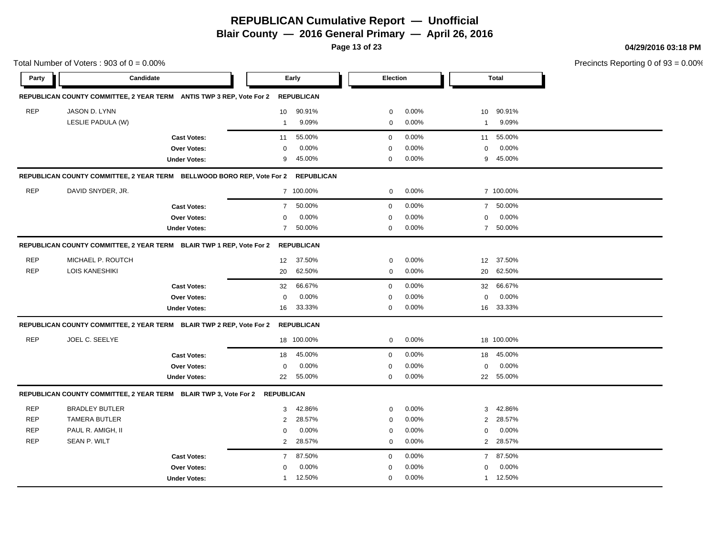**Blair County — 2016 General Primary — April 26, 2016**

**Page 13 of 23**

**04/29/2016 03:18 PM**

|            | Total Number of Voters: $903$ of $0 = 0.00\%$ |                                                                             |                |                   |             |          | Precincts Reporting 0 of |              |  |
|------------|-----------------------------------------------|-----------------------------------------------------------------------------|----------------|-------------------|-------------|----------|--------------------------|--------------|--|
| Party      | Candidate                                     |                                                                             |                | Early             | Election    |          |                          | <b>Total</b> |  |
|            |                                               | REPUBLICAN COUNTY COMMITTEE, 2 YEAR TERM ANTIS TWP 3 REP, Vote For 2        |                | <b>REPUBLICAN</b> |             |          |                          |              |  |
| <b>REP</b> | JASON D. LYNN                                 |                                                                             | 10             | 90.91%            | $\pmb{0}$   | 0.00%    | 10 <sup>°</sup>          | 90.91%       |  |
|            | LESLIE PADULA (W)                             |                                                                             | $\overline{1}$ | 9.09%             | $\mathbf 0$ | 0.00%    | 1                        | 9.09%        |  |
|            |                                               | <b>Cast Votes:</b>                                                          | 11             | 55.00%            | $\mathbf 0$ | 0.00%    | 11                       | 55.00%       |  |
|            |                                               | Over Votes:                                                                 | $\mathbf 0$    | 0.00%             | $\mathbf 0$ | 0.00%    | 0                        | 0.00%        |  |
|            |                                               | <b>Under Votes:</b>                                                         | 9              | 45.00%            | $\mathbf 0$ | 0.00%    | 9                        | 45.00%       |  |
|            |                                               | REPUBLICAN COUNTY COMMITTEE, 2 YEAR TERM BELLWOOD BORO REP, Vote For 2      |                | <b>REPUBLICAN</b> |             |          |                          |              |  |
| <b>REP</b> | DAVID SNYDER, JR.                             |                                                                             |                | 7 100.00%         | 0           | 0.00%    |                          | 7 100.00%    |  |
|            |                                               | <b>Cast Votes:</b>                                                          | $\overline{7}$ | 50.00%            | $\mathbf 0$ | 0.00%    |                          | 7 50.00%     |  |
|            |                                               | Over Votes:                                                                 | $\mathbf 0$    | 0.00%             | $\mathbf 0$ | 0.00%    | $\mathbf 0$              | 0.00%        |  |
|            |                                               | <b>Under Votes:</b>                                                         | $\overline{7}$ | 50.00%            | $\mathbf 0$ | 0.00%    |                          | 7 50.00%     |  |
|            |                                               | REPUBLICAN COUNTY COMMITTEE, 2 YEAR TERM BLAIR TWP 1 REP, Vote For 2        |                | <b>REPUBLICAN</b> |             |          |                          |              |  |
| <b>REP</b> | MICHAEL P. ROUTCH                             |                                                                             | 12             | 37.50%            | 0           | 0.00%    | 12                       | 37.50%       |  |
| <b>REP</b> | LOIS KANESHIKI                                |                                                                             | 20             | 62.50%            | 0           | 0.00%    |                          | 20 62.50%    |  |
|            |                                               | <b>Cast Votes:</b>                                                          | 32             | 66.67%            | $\mathbf 0$ | 0.00%    | 32                       | 66.67%       |  |
|            |                                               | Over Votes:                                                                 | $\mathbf 0$    | 0.00%             | $\mathbf 0$ | 0.00%    | 0                        | 0.00%        |  |
|            |                                               | <b>Under Votes:</b>                                                         | 16             | 33.33%            | $\mathbf 0$ | 0.00%    |                          | 16 33.33%    |  |
|            |                                               | REPUBLICAN COUNTY COMMITTEE, 2 YEAR TERM BLAIR TWP 2 REP, Vote For 2        |                | <b>REPUBLICAN</b> |             |          |                          |              |  |
| <b>REP</b> | JOEL C. SEELYE                                |                                                                             |                | 18 100.00%        | 0           | 0.00%    |                          | 18 100.00%   |  |
|            |                                               | <b>Cast Votes:</b>                                                          | 18             | 45.00%            | $\mathbf 0$ | 0.00%    | 18                       | 45.00%       |  |
|            |                                               | Over Votes:                                                                 | $\mathbf 0$    | 0.00%             | $\mathbf 0$ | 0.00%    | 0                        | 0.00%        |  |
|            |                                               | <b>Under Votes:</b>                                                         | 22             | 55.00%            | $\mathbf 0$ | 0.00%    |                          | 22 55.00%    |  |
|            |                                               | REPUBLICAN COUNTY COMMITTEE, 2 YEAR TERM BLAIR TWP 3, Vote For 2 REPUBLICAN |                |                   |             |          |                          |              |  |
| <b>REP</b> | <b>BRADLEY BUTLER</b>                         |                                                                             | 3              | 42.86%            | $\mathbf 0$ | 0.00%    | 3                        | 42.86%       |  |
| <b>REP</b> | <b>TAMERA BUTLER</b>                          |                                                                             | 2              | 28.57%            | $\mathbf 0$ | 0.00%    | $\overline{2}$           | 28.57%       |  |
| <b>REP</b> | PAUL R. AMIGH, II                             |                                                                             | 0              | 0.00%             | $\mathbf 0$ | 0.00%    | 0                        | 0.00%        |  |
| <b>REP</b> | <b>SEAN P. WILT</b>                           |                                                                             | $\overline{2}$ | 28.57%            | 0           | $0.00\%$ |                          | 2 28.57%     |  |
|            |                                               | <b>Cast Votes:</b>                                                          | $\overline{7}$ | 87.50%            | $\mathbf 0$ | 0.00%    | $\overline{7}$           | 87.50%       |  |
|            |                                               | Over Votes:                                                                 | $\Omega$       | 0.00%             | $\mathbf 0$ | 0.00%    | $\mathbf 0$              | 0.00%        |  |
|            |                                               | <b>Under Votes:</b>                                                         | -1             | 12.50%            | 0           | 0.00%    |                          | 1 12.50%     |  |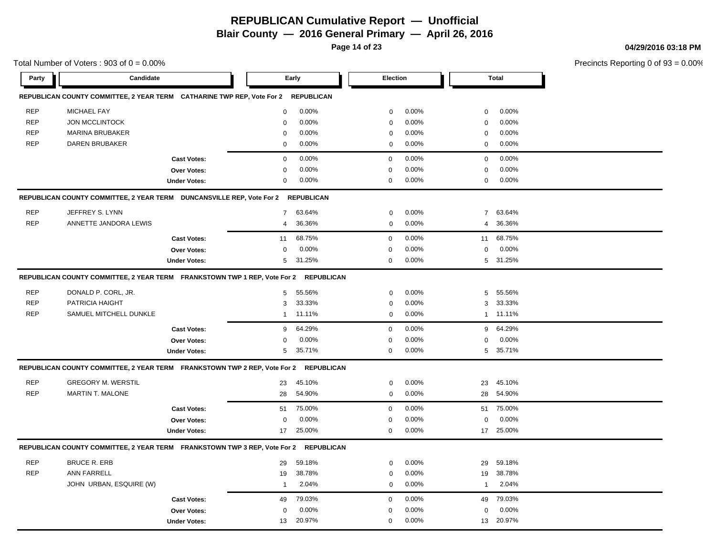**Page 14 of 23**

#### **04/29/2016 03:18 PM**

|            | Total Number of Voters: $903$ of $0 = 0.00\%$                                    |                     |                |                   |             |       |                |              | Precincts Reporting 0 of 9 |
|------------|----------------------------------------------------------------------------------|---------------------|----------------|-------------------|-------------|-------|----------------|--------------|----------------------------|
| Party      | Candidate                                                                        |                     |                | Early             | Election    |       |                | <b>Total</b> |                            |
|            | REPUBLICAN COUNTY COMMITTEE, 2 YEAR TERM CATHARINE TWP REP, Vote For 2           |                     |                | <b>REPUBLICAN</b> |             |       |                |              |                            |
| <b>REP</b> | <b>MICHAEL FAY</b>                                                               |                     | 0              | 0.00%             | $\mathbf 0$ | 0.00% | $\mathbf 0$    | 0.00%        |                            |
| <b>REP</b> | <b>JON MCCLINTOCK</b>                                                            |                     | 0              | 0.00%             | 0           | 0.00% | 0              | 0.00%        |                            |
| <b>REP</b> | <b>MARINA BRUBAKER</b>                                                           |                     | 0              | 0.00%             | $\mathbf 0$ | 0.00% | $\pmb{0}$      | 0.00%        |                            |
| <b>REP</b> | <b>DAREN BRUBAKER</b>                                                            |                     | 0              | 0.00%             | $\mathbf 0$ | 0.00% | 0              | 0.00%        |                            |
|            |                                                                                  | <b>Cast Votes:</b>  | 0              | 0.00%             | $\mathbf 0$ | 0.00% | 0              | 0.00%        |                            |
|            |                                                                                  | Over Votes:         | 0              | 0.00%             | $\Omega$    | 0.00% | 0              | 0.00%        |                            |
|            |                                                                                  | <b>Under Votes:</b> | $\mathbf 0$    | 0.00%             | $\mathbf 0$ | 0.00% | $\mathbf 0$    | 0.00%        |                            |
|            | REPUBLICAN COUNTY COMMITTEE, 2 YEAR TERM DUNCANSVILLE REP, Vote For 2 REPUBLICAN |                     |                |                   |             |       |                |              |                            |
| <b>REP</b> | JEFFREY S. LYNN                                                                  |                     | $\overline{7}$ | 63.64%            | $\mathbf 0$ | 0.00% | $\overline{7}$ | 63.64%       |                            |
| <b>REP</b> | ANNETTE JANDORA LEWIS                                                            |                     | 4              | 36.36%            | $\mathbf 0$ | 0.00% | 4              | 36.36%       |                            |
|            |                                                                                  | <b>Cast Votes:</b>  | 11             | 68.75%            | $\mathbf 0$ | 0.00% | 11             | 68.75%       |                            |
|            |                                                                                  | Over Votes:         | 0              | 0.00%             | $\Omega$    | 0.00% | $\mathbf 0$    | 0.00%        |                            |
|            |                                                                                  | <b>Under Votes:</b> | 5              | 31.25%            | $\mathbf 0$ | 0.00% |                | 5 31.25%     |                            |
|            | REPUBLICAN COUNTY COMMITTEE, 2 YEAR TERM FRANKSTOWN TWP 1 REP, Vote For 2        |                     |                | <b>REPUBLICAN</b> |             |       |                |              |                            |
| <b>REP</b> | DONALD P. CORL, JR.                                                              |                     | 5              | 55.56%            | $\mathbf 0$ | 0.00% | 5              | 55.56%       |                            |
| <b>REP</b> | PATRICIA HAIGHT                                                                  |                     | 3              | 33.33%            | $\mathbf 0$ | 0.00% | 3              | 33.33%       |                            |
| <b>REP</b> | SAMUEL MITCHELL DUNKLE                                                           |                     | $\mathbf{1}$   | 11.11%            | $\mathbf 0$ | 0.00% |                | 1 11.11%     |                            |
|            |                                                                                  | <b>Cast Votes:</b>  | 9              | 64.29%            | $\mathbf 0$ | 0.00% | 9              | 64.29%       |                            |
|            |                                                                                  | Over Votes:         | 0              | 0.00%             | $\Omega$    | 0.00% | $\Omega$       | 0.00%        |                            |
|            |                                                                                  | <b>Under Votes:</b> | 5              | 35.71%            | $\mathbf 0$ | 0.00% |                | 5 35.71%     |                            |
|            | REPUBLICAN COUNTY COMMITTEE, 2 YEAR TERM FRANKSTOWN TWP 2 REP, Vote For 2        |                     |                | <b>REPUBLICAN</b> |             |       |                |              |                            |
| <b>REP</b> | <b>GREGORY M. WERSTIL</b>                                                        |                     | 23             | 45.10%            | $\mathbf 0$ | 0.00% | 23             | 45.10%       |                            |
| <b>REP</b> | <b>MARTIN T. MALONE</b>                                                          |                     | 28             | 54.90%            | $\mathbf 0$ | 0.00% | 28             | 54.90%       |                            |
|            |                                                                                  | <b>Cast Votes:</b>  | 51             | 75.00%            | $\mathbf 0$ | 0.00% | 51             | 75.00%       |                            |
|            |                                                                                  | Over Votes:         | 0              | 0.00%             | $\mathbf 0$ | 0.00% | $\mathbf 0$    | 0.00%        |                            |
|            |                                                                                  | <b>Under Votes:</b> | 17             | 25.00%            | 0           | 0.00% |                | 17 25.00%    |                            |
|            | REPUBLICAN COUNTY COMMITTEE, 2 YEAR TERM FRANKSTOWN TWP 3 REP, Vote For 2        |                     |                | <b>REPUBLICAN</b> |             |       |                |              |                            |
| <b>REP</b> | <b>BRUCE R. ERB</b>                                                              |                     | 29             | 59.18%            | 0           | 0.00% | 29             | 59.18%       |                            |
| <b>REP</b> | <b>ANN FARRELL</b>                                                               |                     | 19             | 38.78%            | 0           | 0.00% | 19             | 38.78%       |                            |
|            | JOHN URBAN, ESQUIRE (W)                                                          |                     | $\overline{1}$ | 2.04%             | $\mathbf 0$ | 0.00% | $\mathbf{1}$   | 2.04%        |                            |
|            |                                                                                  | <b>Cast Votes:</b>  | 49             | 79.03%            | $\Omega$    | 0.00% | 49             | 79.03%       |                            |
|            |                                                                                  | <b>Over Votes:</b>  | $\Omega$       | 0.00%             | $\Omega$    | 0.00% | $\mathbf 0$    | 0.00%        |                            |
|            |                                                                                  | <b>Under Votes:</b> | 13             | 20.97%            | 0           | 0.00% | 13             | 20.97%       |                            |
|            |                                                                                  |                     |                |                   |             |       |                |              |                            |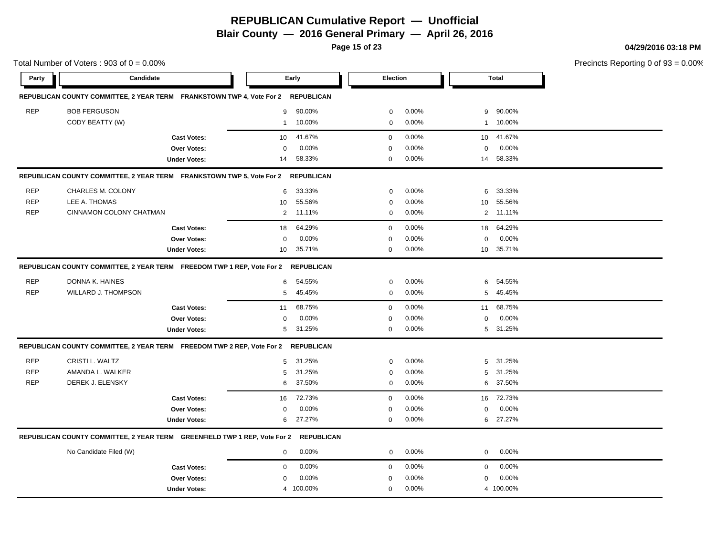**Blair County — 2016 General Primary — April 26, 2016**

**Page 15 of 23**

**04/29/2016 03:18 PM**

|            | Total Number of Voters: $903$ of $0 = 0.00\%$                                    |                     |                |                   |             |       |                  |              | Precincts Reporting 0 of 9 |
|------------|----------------------------------------------------------------------------------|---------------------|----------------|-------------------|-------------|-------|------------------|--------------|----------------------------|
| Party      | Candidate                                                                        |                     |                | Early             | Election    |       |                  | <b>Total</b> |                            |
|            | REPUBLICAN COUNTY COMMITTEE, 2 YEAR TERM FRANKSTOWN TWP 4, Vote For 2            |                     |                | <b>REPUBLICAN</b> |             |       |                  |              |                            |
| <b>REP</b> | <b>BOB FERGUSON</b>                                                              |                     | 9              | 90.00%            | $\mathbf 0$ | 0.00% | 9                | 90.00%       |                            |
|            | CODY BEATTY (W)                                                                  |                     | $\mathbf{1}$   | 10.00%            | 0           | 0.00% |                  | 1 10.00%     |                            |
|            |                                                                                  | <b>Cast Votes:</b>  | 10             | 41.67%            | $\mathbf 0$ | 0.00% | 10 <sup>1</sup>  | 41.67%       |                            |
|            |                                                                                  | Over Votes:         | 0              | 0.00%             | $\Omega$    | 0.00% | $\mathbf 0$      | 0.00%        |                            |
|            |                                                                                  | <b>Under Votes:</b> | 14             | 58.33%            | 0           | 0.00% |                  | 14 58.33%    |                            |
|            | REPUBLICAN COUNTY COMMITTEE, 2 YEAR TERM FRANKSTOWN TWP 5, Vote For 2 REPUBLICAN |                     |                |                   |             |       |                  |              |                            |
| <b>REP</b> | CHARLES M. COLONY                                                                |                     | 6              | 33.33%            | $\mathbf 0$ | 0.00% | 6                | 33.33%       |                            |
| <b>REP</b> | LEE A. THOMAS                                                                    |                     | 10             | 55.56%            | $\mathbf 0$ | 0.00% | 10               | 55.56%       |                            |
| <b>REP</b> | CINNAMON COLONY CHATMAN                                                          |                     | $\overline{2}$ | 11.11%            | 0           | 0.00% |                  | 2 11.11%     |                            |
|            |                                                                                  | <b>Cast Votes:</b>  | 18             | 64.29%            | 0           | 0.00% | 18               | 64.29%       |                            |
|            |                                                                                  | Over Votes:         | 0              | 0.00%             | $\Omega$    | 0.00% | $\boldsymbol{0}$ | 0.00%        |                            |
|            |                                                                                  | <b>Under Votes:</b> | 10             | 35.71%            | $\mathbf 0$ | 0.00% | 10               | 35.71%       |                            |
|            | REPUBLICAN COUNTY COMMITTEE, 2 YEAR TERM FREEDOM TWP 1 REP, Vote For 2           |                     |                | <b>REPUBLICAN</b> |             |       |                  |              |                            |
| <b>REP</b> | DONNA K. HAINES                                                                  |                     | 6              | 54.55%            | $\mathbf 0$ | 0.00% | 6                | 54.55%       |                            |
| <b>REP</b> | <b>WILLARD J. THOMPSON</b>                                                       |                     | 5              | 45.45%            | $\mathbf 0$ | 0.00% | 5                | 45.45%       |                            |
|            |                                                                                  | <b>Cast Votes:</b>  | 11             | 68.75%            | $\mathbf 0$ | 0.00% | 11               | 68.75%       |                            |
|            |                                                                                  | Over Votes:         | 0              | 0.00%             | $\Omega$    | 0.00% | $\mathbf 0$      | 0.00%        |                            |
|            |                                                                                  | <b>Under Votes:</b> | 5              | 31.25%            | $\mathbf 0$ | 0.00% | 5                | 31.25%       |                            |
|            | REPUBLICAN COUNTY COMMITTEE, 2 YEAR TERM FREEDOM TWP 2 REP, Vote For 2           |                     |                | <b>REPUBLICAN</b> |             |       |                  |              |                            |
| <b>REP</b> | CRISTI L. WALTZ                                                                  |                     | 5              | 31.25%            | 0           | 0.00% | 5                | 31.25%       |                            |
| <b>REP</b> | AMANDA L. WALKER                                                                 |                     | 5              | 31.25%            | $\mathbf 0$ | 0.00% | 5                | 31.25%       |                            |
| <b>REP</b> | DEREK J. ELENSKY                                                                 |                     | 6              | 37.50%            | $\mathbf 0$ | 0.00% | 6                | 37.50%       |                            |
|            |                                                                                  | <b>Cast Votes:</b>  | 16             | 72.73%            | $\mathbf 0$ | 0.00% | 16               | 72.73%       |                            |
|            |                                                                                  | Over Votes:         | 0              | 0.00%             | $\Omega$    | 0.00% | $\mathbf 0$      | 0.00%        |                            |
|            |                                                                                  | <b>Under Votes:</b> | 6              | 27.27%            | $\mathbf 0$ | 0.00% | 6                | 27.27%       |                            |
|            | REPUBLICAN COUNTY COMMITTEE, 2 YEAR TERM GREENFIELD TWP 1 REP, Vote For 2        |                     |                | <b>REPUBLICAN</b> |             |       |                  |              |                            |
|            | No Candidate Filed (W)                                                           |                     | $\mathbf 0$    | 0.00%             | $\mathbf 0$ | 0.00% | $\mathbf 0$      | 0.00%        |                            |
|            |                                                                                  | <b>Cast Votes:</b>  | $\mathbf 0$    | 0.00%             | $\mathbf 0$ | 0.00% | 0                | 0.00%        |                            |
|            |                                                                                  | Over Votes:         | 0              | 0.00%             | 0           | 0.00% | 0                | 0.00%        |                            |
|            |                                                                                  | <b>Under Votes:</b> |                | 4 100.00%         | 0           | 0.00% |                  | 4 100.00%    |                            |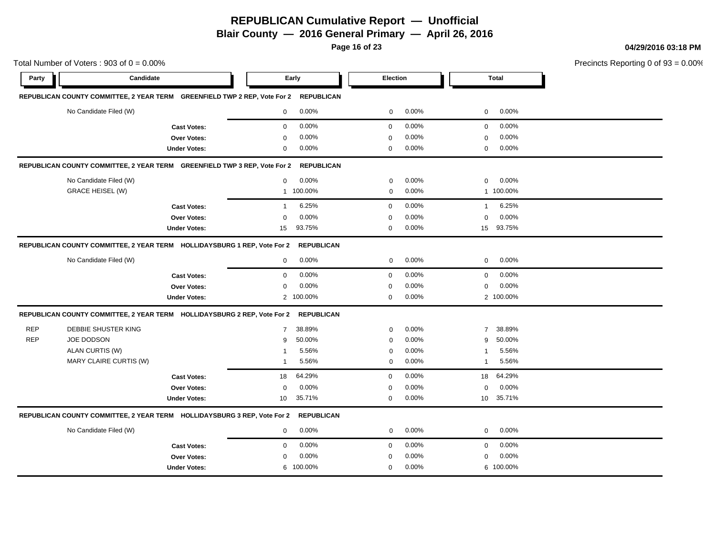**Blair County — 2016 General Primary — April 26, 2016**

**Page 16 of 23**

**04/29/2016 03:18 PM**

|            | Total Number of Voters: $903$ of $0 = 0.00\%$                             |                     |                |                   |              |       |                | Precincts Reporting 0 of |  |
|------------|---------------------------------------------------------------------------|---------------------|----------------|-------------------|--------------|-------|----------------|--------------------------|--|
| Party      | Candidate                                                                 |                     |                | Early             | Election     |       |                | <b>Total</b>             |  |
|            | REPUBLICAN COUNTY COMMITTEE, 2 YEAR TERM GREENFIELD TWP 2 REP, Vote For 2 |                     |                | <b>REPUBLICAN</b> |              |       |                |                          |  |
|            | No Candidate Filed (W)                                                    |                     | $\mathbf 0$    | 0.00%             | 0            | 0.00% | 0              | 0.00%                    |  |
|            |                                                                           | <b>Cast Votes:</b>  | $\mathbf 0$    | 0.00%             | $\mathbf 0$  | 0.00% | 0              | 0.00%                    |  |
|            |                                                                           | <b>Over Votes:</b>  | 0              | 0.00%             | $\mathbf 0$  | 0.00% | 0              | 0.00%                    |  |
|            |                                                                           | <b>Under Votes:</b> | 0              | 0.00%             | 0            | 0.00% | 0              | 0.00%                    |  |
|            | REPUBLICAN COUNTY COMMITTEE, 2 YEAR TERM GREENFIELD TWP 3 REP, Vote For 2 |                     |                | <b>REPUBLICAN</b> |              |       |                |                          |  |
|            | No Candidate Filed (W)                                                    |                     | $\mathbf 0$    | 0.00%             | $\mathbf 0$  | 0.00% | $\mathbf 0$    | 0.00%                    |  |
|            | <b>GRACE HEISEL (W)</b>                                                   |                     | $\mathbf{1}$   | 100.00%           | $\mathbf 0$  | 0.00% |                | 1 100.00%                |  |
|            |                                                                           | <b>Cast Votes:</b>  | $\mathbf{1}$   | 6.25%             | $\mathbf 0$  | 0.00% | $\overline{1}$ | 6.25%                    |  |
|            |                                                                           | Over Votes:         | 0              | 0.00%             | $\mathbf 0$  | 0.00% | 0              | 0.00%                    |  |
|            |                                                                           | <b>Under Votes:</b> | 15             | 93.75%            | $\mathbf 0$  | 0.00% |                | 15 93.75%                |  |
|            | REPUBLICAN COUNTY COMMITTEE, 2 YEAR TERM HOLLIDAYSBURG 1 REP, Vote For 2  |                     |                | <b>REPUBLICAN</b> |              |       |                |                          |  |
|            | No Candidate Filed (W)                                                    |                     | $\mathbf 0$    | 0.00%             | $\mathbf 0$  | 0.00% | 0              | 0.00%                    |  |
|            |                                                                           | <b>Cast Votes:</b>  | $\mathsf 0$    | 0.00%             | $\mathbf 0$  | 0.00% | 0              | 0.00%                    |  |
|            |                                                                           | Over Votes:         | $\mathbf 0$    | 0.00%             | $\mathbf 0$  | 0.00% | 0              | 0.00%                    |  |
|            |                                                                           | <b>Under Votes:</b> | $\overline{2}$ | 100.00%           | $\mathbf{0}$ | 0.00% |                | 2 100.00%                |  |
|            | REPUBLICAN COUNTY COMMITTEE, 2 YEAR TERM HOLLIDAYSBURG 2 REP, Vote For 2  |                     |                | <b>REPUBLICAN</b> |              |       |                |                          |  |
| <b>REP</b> | DEBBIE SHUSTER KING                                                       |                     | $\overline{7}$ | 38.89%            | $\mathbf 0$  | 0.00% | $\overline{7}$ | 38.89%                   |  |
| <b>REP</b> | <b>JOE DODSON</b>                                                         |                     | 9              | 50.00%            | $\mathbf 0$  | 0.00% | 9              | 50.00%                   |  |
|            | ALAN CURTIS (W)                                                           |                     | 1              | 5.56%             | $\mathbf 0$  | 0.00% | 1              | 5.56%                    |  |
|            | MARY CLAIRE CURTIS (W)                                                    |                     | -1             | 5.56%             | $\mathbf 0$  | 0.00% | $\mathbf{1}$   | 5.56%                    |  |
|            |                                                                           | <b>Cast Votes:</b>  | 18             | 64.29%            | $\mathbf 0$  | 0.00% | 18             | 64.29%                   |  |
|            |                                                                           | Over Votes:         | $\mathbf 0$    | 0.00%             | $\mathbf 0$  | 0.00% | 0              | 0.00%                    |  |
|            |                                                                           | <b>Under Votes:</b> | 10             | 35.71%            | 0            | 0.00% |                | 10 35.71%                |  |
|            | REPUBLICAN COUNTY COMMITTEE, 2 YEAR TERM HOLLIDAYSBURG 3 REP, Vote For 2  |                     |                | <b>REPUBLICAN</b> |              |       |                |                          |  |
|            | No Candidate Filed (W)                                                    |                     | $\mathbf 0$    | 0.00%             | 0            | 0.00% | 0              | 0.00%                    |  |
|            |                                                                           | <b>Cast Votes:</b>  | $\mathbf 0$    | 0.00%             | $\mathbf 0$  | 0.00% | 0              | 0.00%                    |  |
|            |                                                                           | Over Votes:         | $\mathbf 0$    | 0.00%             | $\mathbf 0$  | 0.00% | $\mathbf 0$    | 0.00%                    |  |
|            |                                                                           | <b>Under Votes:</b> |                | 6 100.00%         | $\mathbf 0$  | 0.00% |                | 6 100.00%                |  |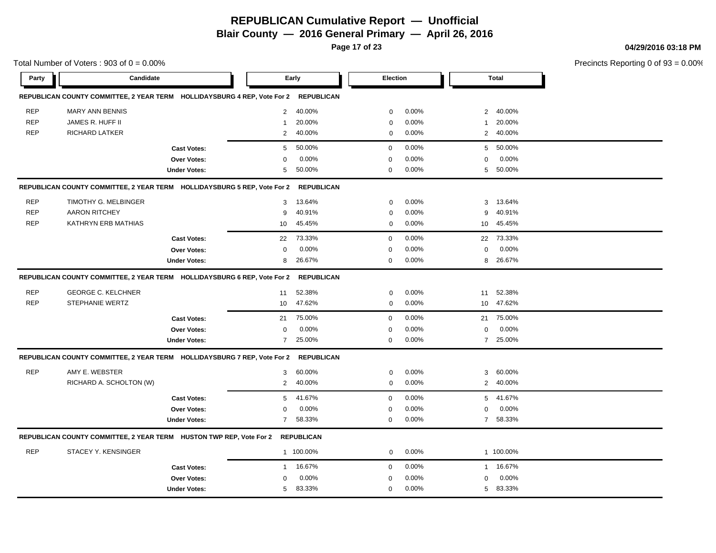**Blair County — 2016 General Primary — April 26, 2016**

**Page 17 of 23**

**04/29/2016 03:18 PM**

| Party<br>Candidate<br>Election<br><b>Total</b><br>Early<br>REPUBLICAN COUNTY COMMITTEE, 2 YEAR TERM HOLLIDAYSBURG 4 REP, Vote For 2<br><b>REPUBLICAN</b><br><b>REP</b><br>40.00%<br>0.00%<br>40.00%<br><b>MARY ANN BENNIS</b><br>$\overline{2}$<br>$\overline{2}$<br>0<br><b>REP</b><br>JAMES R. HUFF II<br>20.00%<br>0.00%<br>20.00%<br>$\mathbf 0$<br>$\mathbf 1$<br>1<br><b>REP</b><br>RICHARD LATKER<br>40.00%<br>0.00%<br>40.00%<br>2<br>$\mathbf 0$<br>$\overline{2}$<br>50.00%<br>0.00%<br>50.00%<br>5<br>$\mathbf 0$<br>5<br><b>Cast Votes:</b><br>0.00%<br>0.00%<br>0.00%<br>Over Votes:<br>0<br>0<br>0<br>50.00%<br>50.00%<br>0.00%<br><b>Under Votes:</b><br>5<br>$\mathbf 0$<br>5<br>REPUBLICAN COUNTY COMMITTEE, 2 YEAR TERM HOLLIDAYSBURG 5 REP, Vote For 2<br><b>REPUBLICAN</b><br><b>REP</b><br>TIMOTHY G. MELBINGER<br>0.00%<br>13.64%<br>13.64%<br>3<br>$\mathbf 0$<br>3<br><b>REP</b><br><b>AARON RITCHEY</b><br>40.91%<br>0.00%<br>40.91%<br>9<br>$\mathbf 0$<br>9<br><b>REP</b><br>KATHRYN ERB MATHIAS<br>45.45%<br>0.00%<br>45.45%<br>10<br>0<br>10<br>73.33%<br>0.00%<br>73.33%<br><b>Cast Votes:</b><br>22<br>$\mathbf 0$<br>22<br>0.00%<br>0.00%<br>0.00%<br>$\mathbf 0$<br>Over Votes:<br>$\mathbf 0$<br>$\mathbf 0$<br>26.67%<br>$\mathbf 0$<br>0.00%<br>26.67%<br>8<br>8<br><b>Under Votes:</b><br>REPUBLICAN COUNTY COMMITTEE, 2 YEAR TERM HOLLIDAYSBURG 6 REP, Vote For 2<br><b>REPUBLICAN</b><br><b>REP</b><br><b>GEORGE C. KELCHNER</b><br>52.38%<br>0.00%<br>52.38%<br>11<br>0<br>11<br><b>REP</b><br><b>STEPHANIE WERTZ</b><br>47.62%<br>$\mathbf 0$<br>0.00%<br>47.62%<br>10<br>10<br>75.00%<br>0<br>0.00%<br>75.00%<br><b>Cast Votes:</b><br>21<br>21<br>0.00%<br>0.00%<br>0.00%<br>0<br>Over Votes:<br>0<br>0<br>0.00%<br>7 25.00%<br>25.00%<br><b>Under Votes:</b><br>$\overline{7}$<br>0<br><b>REPUBLICAN</b><br>REPUBLICAN COUNTY COMMITTEE, 2 YEAR TERM HOLLIDAYSBURG 7 REP, Vote For 2<br><b>REP</b><br>AMY E. WEBSTER<br>60.00%<br>0.00%<br>60.00%<br>3<br>$\mathbf 0$<br>3<br>RICHARD A. SCHOLTON (W)<br>40.00%<br>0.00%<br>$\overline{2}$<br>2 40.00%<br>$\mathbf 0$<br>41.67%<br>0.00%<br>41.67%<br><b>Cast Votes:</b><br>5<br>0<br>5<br>0.00%<br>0.00%<br>0.00%<br>Over Votes:<br>$\mathbf 0$<br>$\mathbf 0$<br>$\mathbf 0$<br>58.33%<br>0.00%<br>7 58.33%<br><b>Under Votes:</b><br>$\overline{7}$<br>0<br>REPUBLICAN COUNTY COMMITTEE, 2 YEAR TERM HUSTON TWP REP, Vote For 2<br><b>REPUBLICAN</b><br><b>REP</b><br><b>STACEY Y. KENSINGER</b><br>1 100.00%<br>0.00%<br>1 100.00%<br>$\mathbf 0$<br>16.67%<br>0.00%<br>1 16.67%<br><b>Cast Votes:</b><br>0<br>$\mathbf{1}$<br>0.00%<br>0.00%<br>0.00%<br>$\mathbf 0$<br>$\mathbf 0$<br>Over Votes:<br>$\mathbf 0$<br>5 83.33%<br>83.33%<br>0.00%<br><b>Under Votes:</b><br>5<br>0 | Total Number of Voters: $903$ of $0 = 0.00\%$ |  |  |  |  | Precincts Reporting 0 of |  |
|------------------------------------------------------------------------------------------------------------------------------------------------------------------------------------------------------------------------------------------------------------------------------------------------------------------------------------------------------------------------------------------------------------------------------------------------------------------------------------------------------------------------------------------------------------------------------------------------------------------------------------------------------------------------------------------------------------------------------------------------------------------------------------------------------------------------------------------------------------------------------------------------------------------------------------------------------------------------------------------------------------------------------------------------------------------------------------------------------------------------------------------------------------------------------------------------------------------------------------------------------------------------------------------------------------------------------------------------------------------------------------------------------------------------------------------------------------------------------------------------------------------------------------------------------------------------------------------------------------------------------------------------------------------------------------------------------------------------------------------------------------------------------------------------------------------------------------------------------------------------------------------------------------------------------------------------------------------------------------------------------------------------------------------------------------------------------------------------------------------------------------------------------------------------------------------------------------------------------------------------------------------------------------------------------------------------------------------------------------------------------------------------------------------------------------------------------------------------------------------------------------------------------------------------------------------------------------------------------------------------------------------------------------------------------------------------------------------------------------------------------------------------------------|-----------------------------------------------|--|--|--|--|--------------------------|--|
|                                                                                                                                                                                                                                                                                                                                                                                                                                                                                                                                                                                                                                                                                                                                                                                                                                                                                                                                                                                                                                                                                                                                                                                                                                                                                                                                                                                                                                                                                                                                                                                                                                                                                                                                                                                                                                                                                                                                                                                                                                                                                                                                                                                                                                                                                                                                                                                                                                                                                                                                                                                                                                                                                                                                                                                    |                                               |  |  |  |  |                          |  |
|                                                                                                                                                                                                                                                                                                                                                                                                                                                                                                                                                                                                                                                                                                                                                                                                                                                                                                                                                                                                                                                                                                                                                                                                                                                                                                                                                                                                                                                                                                                                                                                                                                                                                                                                                                                                                                                                                                                                                                                                                                                                                                                                                                                                                                                                                                                                                                                                                                                                                                                                                                                                                                                                                                                                                                                    |                                               |  |  |  |  |                          |  |
|                                                                                                                                                                                                                                                                                                                                                                                                                                                                                                                                                                                                                                                                                                                                                                                                                                                                                                                                                                                                                                                                                                                                                                                                                                                                                                                                                                                                                                                                                                                                                                                                                                                                                                                                                                                                                                                                                                                                                                                                                                                                                                                                                                                                                                                                                                                                                                                                                                                                                                                                                                                                                                                                                                                                                                                    |                                               |  |  |  |  |                          |  |
|                                                                                                                                                                                                                                                                                                                                                                                                                                                                                                                                                                                                                                                                                                                                                                                                                                                                                                                                                                                                                                                                                                                                                                                                                                                                                                                                                                                                                                                                                                                                                                                                                                                                                                                                                                                                                                                                                                                                                                                                                                                                                                                                                                                                                                                                                                                                                                                                                                                                                                                                                                                                                                                                                                                                                                                    |                                               |  |  |  |  |                          |  |
|                                                                                                                                                                                                                                                                                                                                                                                                                                                                                                                                                                                                                                                                                                                                                                                                                                                                                                                                                                                                                                                                                                                                                                                                                                                                                                                                                                                                                                                                                                                                                                                                                                                                                                                                                                                                                                                                                                                                                                                                                                                                                                                                                                                                                                                                                                                                                                                                                                                                                                                                                                                                                                                                                                                                                                                    |                                               |  |  |  |  |                          |  |
|                                                                                                                                                                                                                                                                                                                                                                                                                                                                                                                                                                                                                                                                                                                                                                                                                                                                                                                                                                                                                                                                                                                                                                                                                                                                                                                                                                                                                                                                                                                                                                                                                                                                                                                                                                                                                                                                                                                                                                                                                                                                                                                                                                                                                                                                                                                                                                                                                                                                                                                                                                                                                                                                                                                                                                                    |                                               |  |  |  |  |                          |  |
|                                                                                                                                                                                                                                                                                                                                                                                                                                                                                                                                                                                                                                                                                                                                                                                                                                                                                                                                                                                                                                                                                                                                                                                                                                                                                                                                                                                                                                                                                                                                                                                                                                                                                                                                                                                                                                                                                                                                                                                                                                                                                                                                                                                                                                                                                                                                                                                                                                                                                                                                                                                                                                                                                                                                                                                    |                                               |  |  |  |  |                          |  |
|                                                                                                                                                                                                                                                                                                                                                                                                                                                                                                                                                                                                                                                                                                                                                                                                                                                                                                                                                                                                                                                                                                                                                                                                                                                                                                                                                                                                                                                                                                                                                                                                                                                                                                                                                                                                                                                                                                                                                                                                                                                                                                                                                                                                                                                                                                                                                                                                                                                                                                                                                                                                                                                                                                                                                                                    |                                               |  |  |  |  |                          |  |
|                                                                                                                                                                                                                                                                                                                                                                                                                                                                                                                                                                                                                                                                                                                                                                                                                                                                                                                                                                                                                                                                                                                                                                                                                                                                                                                                                                                                                                                                                                                                                                                                                                                                                                                                                                                                                                                                                                                                                                                                                                                                                                                                                                                                                                                                                                                                                                                                                                                                                                                                                                                                                                                                                                                                                                                    |                                               |  |  |  |  |                          |  |
|                                                                                                                                                                                                                                                                                                                                                                                                                                                                                                                                                                                                                                                                                                                                                                                                                                                                                                                                                                                                                                                                                                                                                                                                                                                                                                                                                                                                                                                                                                                                                                                                                                                                                                                                                                                                                                                                                                                                                                                                                                                                                                                                                                                                                                                                                                                                                                                                                                                                                                                                                                                                                                                                                                                                                                                    |                                               |  |  |  |  |                          |  |
|                                                                                                                                                                                                                                                                                                                                                                                                                                                                                                                                                                                                                                                                                                                                                                                                                                                                                                                                                                                                                                                                                                                                                                                                                                                                                                                                                                                                                                                                                                                                                                                                                                                                                                                                                                                                                                                                                                                                                                                                                                                                                                                                                                                                                                                                                                                                                                                                                                                                                                                                                                                                                                                                                                                                                                                    |                                               |  |  |  |  |                          |  |
|                                                                                                                                                                                                                                                                                                                                                                                                                                                                                                                                                                                                                                                                                                                                                                                                                                                                                                                                                                                                                                                                                                                                                                                                                                                                                                                                                                                                                                                                                                                                                                                                                                                                                                                                                                                                                                                                                                                                                                                                                                                                                                                                                                                                                                                                                                                                                                                                                                                                                                                                                                                                                                                                                                                                                                                    |                                               |  |  |  |  |                          |  |
|                                                                                                                                                                                                                                                                                                                                                                                                                                                                                                                                                                                                                                                                                                                                                                                                                                                                                                                                                                                                                                                                                                                                                                                                                                                                                                                                                                                                                                                                                                                                                                                                                                                                                                                                                                                                                                                                                                                                                                                                                                                                                                                                                                                                                                                                                                                                                                                                                                                                                                                                                                                                                                                                                                                                                                                    |                                               |  |  |  |  |                          |  |
|                                                                                                                                                                                                                                                                                                                                                                                                                                                                                                                                                                                                                                                                                                                                                                                                                                                                                                                                                                                                                                                                                                                                                                                                                                                                                                                                                                                                                                                                                                                                                                                                                                                                                                                                                                                                                                                                                                                                                                                                                                                                                                                                                                                                                                                                                                                                                                                                                                                                                                                                                                                                                                                                                                                                                                                    |                                               |  |  |  |  |                          |  |
|                                                                                                                                                                                                                                                                                                                                                                                                                                                                                                                                                                                                                                                                                                                                                                                                                                                                                                                                                                                                                                                                                                                                                                                                                                                                                                                                                                                                                                                                                                                                                                                                                                                                                                                                                                                                                                                                                                                                                                                                                                                                                                                                                                                                                                                                                                                                                                                                                                                                                                                                                                                                                                                                                                                                                                                    |                                               |  |  |  |  |                          |  |
|                                                                                                                                                                                                                                                                                                                                                                                                                                                                                                                                                                                                                                                                                                                                                                                                                                                                                                                                                                                                                                                                                                                                                                                                                                                                                                                                                                                                                                                                                                                                                                                                                                                                                                                                                                                                                                                                                                                                                                                                                                                                                                                                                                                                                                                                                                                                                                                                                                                                                                                                                                                                                                                                                                                                                                                    |                                               |  |  |  |  |                          |  |
|                                                                                                                                                                                                                                                                                                                                                                                                                                                                                                                                                                                                                                                                                                                                                                                                                                                                                                                                                                                                                                                                                                                                                                                                                                                                                                                                                                                                                                                                                                                                                                                                                                                                                                                                                                                                                                                                                                                                                                                                                                                                                                                                                                                                                                                                                                                                                                                                                                                                                                                                                                                                                                                                                                                                                                                    |                                               |  |  |  |  |                          |  |
|                                                                                                                                                                                                                                                                                                                                                                                                                                                                                                                                                                                                                                                                                                                                                                                                                                                                                                                                                                                                                                                                                                                                                                                                                                                                                                                                                                                                                                                                                                                                                                                                                                                                                                                                                                                                                                                                                                                                                                                                                                                                                                                                                                                                                                                                                                                                                                                                                                                                                                                                                                                                                                                                                                                                                                                    |                                               |  |  |  |  |                          |  |
|                                                                                                                                                                                                                                                                                                                                                                                                                                                                                                                                                                                                                                                                                                                                                                                                                                                                                                                                                                                                                                                                                                                                                                                                                                                                                                                                                                                                                                                                                                                                                                                                                                                                                                                                                                                                                                                                                                                                                                                                                                                                                                                                                                                                                                                                                                                                                                                                                                                                                                                                                                                                                                                                                                                                                                                    |                                               |  |  |  |  |                          |  |
|                                                                                                                                                                                                                                                                                                                                                                                                                                                                                                                                                                                                                                                                                                                                                                                                                                                                                                                                                                                                                                                                                                                                                                                                                                                                                                                                                                                                                                                                                                                                                                                                                                                                                                                                                                                                                                                                                                                                                                                                                                                                                                                                                                                                                                                                                                                                                                                                                                                                                                                                                                                                                                                                                                                                                                                    |                                               |  |  |  |  |                          |  |
|                                                                                                                                                                                                                                                                                                                                                                                                                                                                                                                                                                                                                                                                                                                                                                                                                                                                                                                                                                                                                                                                                                                                                                                                                                                                                                                                                                                                                                                                                                                                                                                                                                                                                                                                                                                                                                                                                                                                                                                                                                                                                                                                                                                                                                                                                                                                                                                                                                                                                                                                                                                                                                                                                                                                                                                    |                                               |  |  |  |  |                          |  |
|                                                                                                                                                                                                                                                                                                                                                                                                                                                                                                                                                                                                                                                                                                                                                                                                                                                                                                                                                                                                                                                                                                                                                                                                                                                                                                                                                                                                                                                                                                                                                                                                                                                                                                                                                                                                                                                                                                                                                                                                                                                                                                                                                                                                                                                                                                                                                                                                                                                                                                                                                                                                                                                                                                                                                                                    |                                               |  |  |  |  |                          |  |
|                                                                                                                                                                                                                                                                                                                                                                                                                                                                                                                                                                                                                                                                                                                                                                                                                                                                                                                                                                                                                                                                                                                                                                                                                                                                                                                                                                                                                                                                                                                                                                                                                                                                                                                                                                                                                                                                                                                                                                                                                                                                                                                                                                                                                                                                                                                                                                                                                                                                                                                                                                                                                                                                                                                                                                                    |                                               |  |  |  |  |                          |  |
|                                                                                                                                                                                                                                                                                                                                                                                                                                                                                                                                                                                                                                                                                                                                                                                                                                                                                                                                                                                                                                                                                                                                                                                                                                                                                                                                                                                                                                                                                                                                                                                                                                                                                                                                                                                                                                                                                                                                                                                                                                                                                                                                                                                                                                                                                                                                                                                                                                                                                                                                                                                                                                                                                                                                                                                    |                                               |  |  |  |  |                          |  |
|                                                                                                                                                                                                                                                                                                                                                                                                                                                                                                                                                                                                                                                                                                                                                                                                                                                                                                                                                                                                                                                                                                                                                                                                                                                                                                                                                                                                                                                                                                                                                                                                                                                                                                                                                                                                                                                                                                                                                                                                                                                                                                                                                                                                                                                                                                                                                                                                                                                                                                                                                                                                                                                                                                                                                                                    |                                               |  |  |  |  |                          |  |
|                                                                                                                                                                                                                                                                                                                                                                                                                                                                                                                                                                                                                                                                                                                                                                                                                                                                                                                                                                                                                                                                                                                                                                                                                                                                                                                                                                                                                                                                                                                                                                                                                                                                                                                                                                                                                                                                                                                                                                                                                                                                                                                                                                                                                                                                                                                                                                                                                                                                                                                                                                                                                                                                                                                                                                                    |                                               |  |  |  |  |                          |  |
|                                                                                                                                                                                                                                                                                                                                                                                                                                                                                                                                                                                                                                                                                                                                                                                                                                                                                                                                                                                                                                                                                                                                                                                                                                                                                                                                                                                                                                                                                                                                                                                                                                                                                                                                                                                                                                                                                                                                                                                                                                                                                                                                                                                                                                                                                                                                                                                                                                                                                                                                                                                                                                                                                                                                                                                    |                                               |  |  |  |  |                          |  |
|                                                                                                                                                                                                                                                                                                                                                                                                                                                                                                                                                                                                                                                                                                                                                                                                                                                                                                                                                                                                                                                                                                                                                                                                                                                                                                                                                                                                                                                                                                                                                                                                                                                                                                                                                                                                                                                                                                                                                                                                                                                                                                                                                                                                                                                                                                                                                                                                                                                                                                                                                                                                                                                                                                                                                                                    |                                               |  |  |  |  |                          |  |
|                                                                                                                                                                                                                                                                                                                                                                                                                                                                                                                                                                                                                                                                                                                                                                                                                                                                                                                                                                                                                                                                                                                                                                                                                                                                                                                                                                                                                                                                                                                                                                                                                                                                                                                                                                                                                                                                                                                                                                                                                                                                                                                                                                                                                                                                                                                                                                                                                                                                                                                                                                                                                                                                                                                                                                                    |                                               |  |  |  |  |                          |  |
|                                                                                                                                                                                                                                                                                                                                                                                                                                                                                                                                                                                                                                                                                                                                                                                                                                                                                                                                                                                                                                                                                                                                                                                                                                                                                                                                                                                                                                                                                                                                                                                                                                                                                                                                                                                                                                                                                                                                                                                                                                                                                                                                                                                                                                                                                                                                                                                                                                                                                                                                                                                                                                                                                                                                                                                    |                                               |  |  |  |  |                          |  |
|                                                                                                                                                                                                                                                                                                                                                                                                                                                                                                                                                                                                                                                                                                                                                                                                                                                                                                                                                                                                                                                                                                                                                                                                                                                                                                                                                                                                                                                                                                                                                                                                                                                                                                                                                                                                                                                                                                                                                                                                                                                                                                                                                                                                                                                                                                                                                                                                                                                                                                                                                                                                                                                                                                                                                                                    |                                               |  |  |  |  |                          |  |
|                                                                                                                                                                                                                                                                                                                                                                                                                                                                                                                                                                                                                                                                                                                                                                                                                                                                                                                                                                                                                                                                                                                                                                                                                                                                                                                                                                                                                                                                                                                                                                                                                                                                                                                                                                                                                                                                                                                                                                                                                                                                                                                                                                                                                                                                                                                                                                                                                                                                                                                                                                                                                                                                                                                                                                                    |                                               |  |  |  |  |                          |  |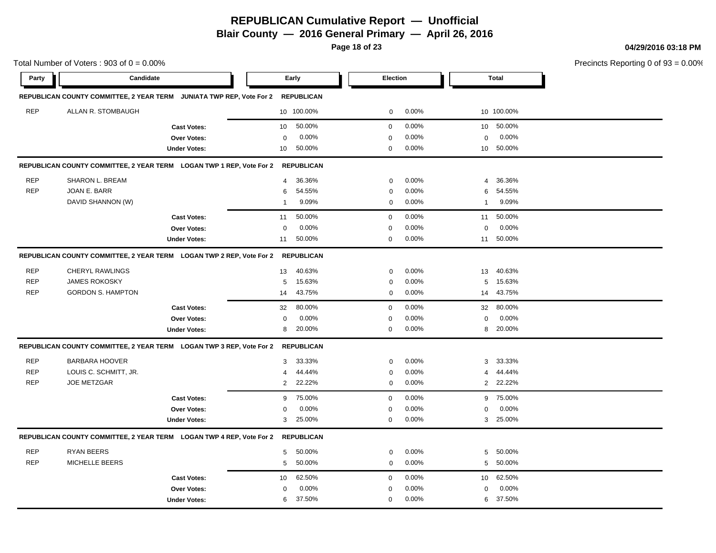**Blair County — 2016 General Primary — April 26, 2016**

**Page 18 of 23**

**04/29/2016 03:18 PM**

|            | Total Number of Voters: $903$ of $0 = 0.00\%$ |                                                                                 |                |                   |             |          |                |              | Precincts Reporting 0 of |
|------------|-----------------------------------------------|---------------------------------------------------------------------------------|----------------|-------------------|-------------|----------|----------------|--------------|--------------------------|
| Party      | Candidate                                     |                                                                                 |                | Early             | Election    |          |                | <b>Total</b> |                          |
|            |                                               | REPUBLICAN COUNTY COMMITTEE, 2 YEAR TERM JUNIATA TWP REP, Vote For 2            |                | <b>REPUBLICAN</b> |             |          |                |              |                          |
| <b>REP</b> | ALLAN R. STOMBAUGH                            |                                                                                 |                | 10 100.00%        | 0           | $0.00\%$ |                | 10 100.00%   |                          |
|            |                                               | <b>Cast Votes:</b>                                                              | 10             | 50.00%            | 0           | 0.00%    | 10             | 50.00%       |                          |
|            |                                               | Over Votes:                                                                     | $\mathbf 0$    | 0.00%             | 0           | 0.00%    | 0              | 0.00%        |                          |
|            |                                               | <b>Under Votes:</b>                                                             | 10             | 50.00%            | 0           | 0.00%    |                | 10 50.00%    |                          |
|            |                                               | REPUBLICAN COUNTY COMMITTEE, 2 YEAR TERM LOGAN TWP 1 REP, Vote For 2 REPUBLICAN |                |                   |             |          |                |              |                          |
| <b>REP</b> | SHARON L. BREAM                               |                                                                                 | $\overline{4}$ | 36.36%            | $\mathbf 0$ | 0.00%    | 4              | 36.36%       |                          |
| <b>REP</b> | JOAN E. BARR                                  |                                                                                 | 6              | 54.55%            | $\mathbf 0$ | 0.00%    | 6              | 54.55%       |                          |
|            | DAVID SHANNON (W)                             |                                                                                 | $\overline{1}$ | 9.09%             | 0           | 0.00%    | $\overline{1}$ | 9.09%        |                          |
|            |                                               | <b>Cast Votes:</b>                                                              | 11             | 50.00%            | $\mathbf 0$ | 0.00%    | 11             | 50.00%       |                          |
|            |                                               | Over Votes:                                                                     | $\mathbf 0$    | 0.00%             | 0           | 0.00%    | 0              | 0.00%        |                          |
|            |                                               | <b>Under Votes:</b>                                                             | 11             | 50.00%            | 0           | 0.00%    | 11             | 50.00%       |                          |
|            |                                               | REPUBLICAN COUNTY COMMITTEE, 2 YEAR TERM LOGAN TWP 2 REP, Vote For 2 REPUBLICAN |                |                   |             |          |                |              |                          |
| <b>REP</b> | <b>CHERYL RAWLINGS</b>                        |                                                                                 | 13             | 40.63%            | $\mathbf 0$ | 0.00%    | 13             | 40.63%       |                          |
| <b>REP</b> | <b>JAMES ROKOSKY</b>                          |                                                                                 | 5              | 15.63%            | $\mathbf 0$ | 0.00%    | 5              | 15.63%       |                          |
| <b>REP</b> | <b>GORDON S. HAMPTON</b>                      |                                                                                 | 14             | 43.75%            | $\mathbf 0$ | 0.00%    | 14             | 43.75%       |                          |
|            |                                               | <b>Cast Votes:</b>                                                              | 32             | 80.00%            | $\mathbf 0$ | 0.00%    | 32             | 80.00%       |                          |
|            |                                               | Over Votes:                                                                     | $\mathbf 0$    | 0.00%             | $\mathbf 0$ | 0.00%    | $\mathbf 0$    | 0.00%        |                          |
|            |                                               | <b>Under Votes:</b>                                                             | 8              | 20.00%            | $\mathbf 0$ | 0.00%    | 8              | 20.00%       |                          |
|            |                                               | REPUBLICAN COUNTY COMMITTEE, 2 YEAR TERM LOGAN TWP 3 REP, Vote For 2            |                | <b>REPUBLICAN</b> |             |          |                |              |                          |
| <b>REP</b> | <b>BARBARA HOOVER</b>                         |                                                                                 | 3              | 33.33%            | $\mathbf 0$ | 0.00%    | 3              | 33.33%       |                          |
| <b>REP</b> | LOUIS C. SCHMITT, JR.                         |                                                                                 | 4              | 44.44%            | $\mathbf 0$ | 0.00%    | 4              | 44.44%       |                          |
| <b>REP</b> | <b>JOE METZGAR</b>                            |                                                                                 | 2              | 22.22%            | $\mathbf 0$ | 0.00%    |                | 2 22.22%     |                          |
|            |                                               | <b>Cast Votes:</b>                                                              | 9              | 75.00%            | 0           | 0.00%    | 9              | 75.00%       |                          |
|            |                                               | Over Votes:                                                                     | $\Omega$       | 0.00%             | $\mathbf 0$ | 0.00%    | $\mathbf 0$    | 0.00%        |                          |
|            |                                               | <b>Under Votes:</b>                                                             | 3              | 25.00%            | $\mathbf 0$ | 0.00%    | 3              | 25.00%       |                          |
|            |                                               | REPUBLICAN COUNTY COMMITTEE, 2 YEAR TERM LOGAN TWP 4 REP, Vote For 2            |                | <b>REPUBLICAN</b> |             |          |                |              |                          |
| <b>REP</b> | <b>RYAN BEERS</b>                             |                                                                                 | 5              | 50.00%            | $\mathbf 0$ | 0.00%    | 5              | 50.00%       |                          |
| <b>REP</b> | MICHELLE BEERS                                |                                                                                 | 5              | 50.00%            | $\mathbf 0$ | 0.00%    | 5              | 50.00%       |                          |
|            |                                               | <b>Cast Votes:</b>                                                              | 10             | 62.50%            | 0           | 0.00%    | 10             | 62.50%       |                          |
|            |                                               | Over Votes:                                                                     | 0              | 0.00%             | 0           | 0.00%    | 0              | 0.00%        |                          |
|            |                                               | <b>Under Votes:</b>                                                             | 6              | 37.50%            | 0           | 0.00%    | 6              | 37.50%       |                          |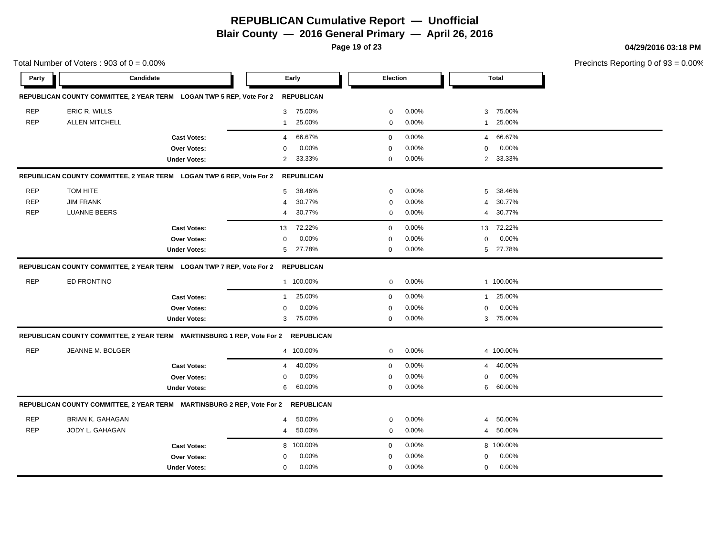**Blair County — 2016 General Primary — April 26, 2016**

**Page 19 of 23**

Total Number of Voters :  $903$  of  $0 = 0.00\%$ 

**04/29/2016 03:18 PM**

| Party      | Candidate               |                                                                                   |                | Early             | <b>Election</b> |          |                | <b>Total</b> |  |
|------------|-------------------------|-----------------------------------------------------------------------------------|----------------|-------------------|-----------------|----------|----------------|--------------|--|
|            |                         | REPUBLICAN COUNTY COMMITTEE, 2 YEAR TERM LOGAN TWP 5 REP, Vote For 2              |                | <b>REPUBLICAN</b> |                 |          |                |              |  |
| <b>REP</b> | ERIC R. WILLS           |                                                                                   | 3              | 75.00%            | $\mathbf 0$     | 0.00%    | 3              | 75.00%       |  |
| <b>REP</b> | <b>ALLEN MITCHELL</b>   |                                                                                   | $\mathbf{1}$   | 25.00%            | $\mathbf 0$     | 0.00%    | 1              | 25.00%       |  |
|            |                         | <b>Cast Votes:</b>                                                                | $\overline{4}$ | 66.67%            | $\mathbf 0$     | 0.00%    | $\overline{4}$ | 66.67%       |  |
|            |                         | Over Votes:                                                                       | $\Omega$       | 0.00%             | $\mathbf 0$     | 0.00%    | $\Omega$       | 0.00%        |  |
|            |                         | <b>Under Votes:</b>                                                               | $\overline{2}$ | 33.33%            | 0               | 0.00%    | $\overline{2}$ | 33.33%       |  |
|            |                         | REPUBLICAN COUNTY COMMITTEE, 2 YEAR TERM LOGAN TWP 6 REP, Vote For 2              |                | <b>REPUBLICAN</b> |                 |          |                |              |  |
| <b>REP</b> | TOM HITE                |                                                                                   | 5              | 38.46%            | $\mathbf 0$     | 0.00%    | 5              | 38.46%       |  |
| <b>REP</b> | <b>JIM FRANK</b>        |                                                                                   | $\overline{4}$ | 30.77%            | $\mathbf 0$     | 0.00%    | 4              | 30.77%       |  |
| <b>REP</b> | <b>LUANNE BEERS</b>     |                                                                                   | 4              | 30.77%            | $\mathbf 0$     | 0.00%    | 4              | 30.77%       |  |
|            |                         | <b>Cast Votes:</b>                                                                | 13             | 72.22%            | $\mathbf 0$     | 0.00%    |                | 13 72.22%    |  |
|            |                         | Over Votes:                                                                       | $\mathbf 0$    | 0.00%             | 0               | 0.00%    | 0              | 0.00%        |  |
|            |                         | <b>Under Votes:</b>                                                               | 5              | 27.78%            | 0               | 0.00%    |                | 5 27.78%     |  |
|            |                         | REPUBLICAN COUNTY COMMITTEE, 2 YEAR TERM LOGAN TWP 7 REP, Vote For 2              |                | <b>REPUBLICAN</b> |                 |          |                |              |  |
| <b>REP</b> | ED FRONTINO             |                                                                                   |                | 1 100.00%         | 0               | 0.00%    |                | 1 100.00%    |  |
|            |                         | <b>Cast Votes:</b>                                                                | $\mathbf{1}$   | 25.00%            | $\mathbf 0$     | 0.00%    | $\mathbf{1}$   | 25.00%       |  |
|            |                         | <b>Over Votes:</b>                                                                | $\mathbf 0$    | 0.00%             | $\mathbf 0$     | 0.00%    | $\mathbf 0$    | 0.00%        |  |
|            |                         | <b>Under Votes:</b>                                                               | 3              | 75.00%            | $\mathbf 0$     | $0.00\%$ |                | 3 75.00%     |  |
|            |                         | REPUBLICAN COUNTY COMMITTEE, 2 YEAR TERM MARTINSBURG 1 REP, Vote For 2 REPUBLICAN |                |                   |                 |          |                |              |  |
| <b>REP</b> | JEANNE M. BOLGER        |                                                                                   |                | 4 100.00%         | $\mathbf 0$     | 0.00%    |                | 4 100.00%    |  |
|            |                         | <b>Cast Votes:</b>                                                                | $\overline{4}$ | 40.00%            | $\mathbf 0$     | 0.00%    | $\overline{4}$ | 40.00%       |  |
|            |                         | <b>Over Votes:</b>                                                                | $\Omega$       | 0.00%             | 0               | 0.00%    | 0              | 0.00%        |  |
|            |                         | <b>Under Votes:</b>                                                               | 6              | 60.00%            | $\mathbf 0$     | $0.00\%$ |                | 6 60.00%     |  |
|            |                         | REPUBLICAN COUNTY COMMITTEE, 2 YEAR TERM MARTINSBURG 2 REP, Vote For 2 REPUBLICAN |                |                   |                 |          |                |              |  |
| <b>REP</b> | <b>BRIAN K. GAHAGAN</b> |                                                                                   | 4              | 50.00%            | 0               | 0.00%    | 4              | 50.00%       |  |
| <b>REP</b> | JODY L. GAHAGAN         |                                                                                   | 4              | 50.00%            | $\mathbf 0$     | 0.00%    | 4              | 50.00%       |  |
|            |                         | <b>Cast Votes:</b>                                                                |                | 8 100.00%         | $\mathbf 0$     | 0.00%    |                | 8 100.00%    |  |
|            |                         | Over Votes:                                                                       | $\mathbf 0$    | 0.00%             | $\Omega$        | 0.00%    | $\mathbf 0$    | 0.00%        |  |
|            |                         | <b>Under Votes:</b>                                                               | $\mathbf 0$    | $0.00\%$          | 0               | 0.00%    | $\mathbf 0$    | 0.00%        |  |
|            |                         |                                                                                   |                |                   |                 |          |                |              |  |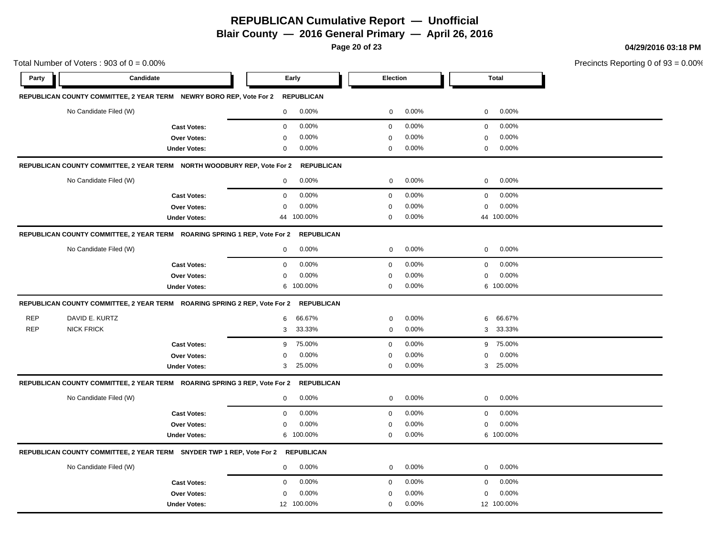**Blair County — 2016 General Primary — April 26, 2016**

**Page 20 of 23**

**04/29/2016 03:18 PM**

|            | Total Number of Voters: $903$ of $0 = 0.00\%$                                    |                     |             |                   |                 |       |             |            | Precincts Reporting 0 o |
|------------|----------------------------------------------------------------------------------|---------------------|-------------|-------------------|-----------------|-------|-------------|------------|-------------------------|
| Party      | Candidate                                                                        |                     |             | Early             | <b>Election</b> |       |             | Total      |                         |
|            | REPUBLICAN COUNTY COMMITTEE, 2 YEAR TERM NEWRY BORO REP, Vote For 2              |                     |             | <b>REPUBLICAN</b> |                 |       |             |            |                         |
|            | No Candidate Filed (W)                                                           |                     | 0           | 0.00%             | $\mathbf 0$     | 0.00% | 0           | 0.00%      |                         |
|            |                                                                                  | <b>Cast Votes:</b>  | $\mathbf 0$ | 0.00%             | $\mathbf 0$     | 0.00% | 0           | 0.00%      |                         |
|            |                                                                                  | Over Votes:         | 0           | 0.00%             | $\mathbf 0$     | 0.00% | 0           | 0.00%      |                         |
|            |                                                                                  | <b>Under Votes:</b> | 0           | 0.00%             | $\mathbf 0$     | 0.00% | 0           | 0.00%      |                         |
|            | REPUBLICAN COUNTY COMMITTEE, 2 YEAR TERM    NORTH WOODBURY REP, Vote For 2       |                     |             | <b>REPUBLICAN</b> |                 |       |             |            |                         |
|            | No Candidate Filed (W)                                                           |                     | $\mathbf 0$ | 0.00%             | 0               | 0.00% | $\mathbf 0$ | 0.00%      |                         |
|            |                                                                                  | <b>Cast Votes:</b>  | $\mathbf 0$ | 0.00%             | $\mathbf 0$     | 0.00% | $\mathbf 0$ | 0.00%      |                         |
|            |                                                                                  | Over Votes:         | $\pmb{0}$   | 0.00%             | $\mathbf 0$     | 0.00% | $\Omega$    | 0.00%      |                         |
|            |                                                                                  | <b>Under Votes:</b> |             | 44 100.00%        | $\mathbf 0$     | 0.00% |             | 44 100.00% |                         |
|            | REPUBLICAN COUNTY COMMITTEE, 2 YEAR TERM ROARING SPRING 1 REP, Vote For 2        |                     |             | <b>REPUBLICAN</b> |                 |       |             |            |                         |
|            | No Candidate Filed (W)                                                           |                     | $\mathbf 0$ | 0.00%             | 0               | 0.00% | 0           | 0.00%      |                         |
|            |                                                                                  | <b>Cast Votes:</b>  | $\mathbf 0$ | 0.00%             | $\mathbf 0$     | 0.00% | $\mathbf 0$ | 0.00%      |                         |
|            |                                                                                  | Over Votes:         | $\mathbf 0$ | 0.00%             | $\mathbf 0$     | 0.00% | $\Omega$    | 0.00%      |                         |
|            |                                                                                  | <b>Under Votes:</b> | 6           | 100.00%           | 0               | 0.00% |             | 6 100.00%  |                         |
|            | REPUBLICAN COUNTY COMMITTEE, 2 YEAR TERM ROARING SPRING 2 REP, Vote For 2        |                     |             | <b>REPUBLICAN</b> |                 |       |             |            |                         |
| <b>REP</b> | DAVID E. KURTZ                                                                   |                     | 6           | 66.67%            | $\pmb{0}$       | 0.00% | 6           | 66.67%     |                         |
| <b>REP</b> | <b>NICK FRICK</b>                                                                |                     | 3           | 33.33%            | 0               | 0.00% | 3           | 33.33%     |                         |
|            |                                                                                  | <b>Cast Votes:</b>  | 9           | 75.00%            | $\mathbf 0$     | 0.00% | 9           | 75.00%     |                         |
|            |                                                                                  | Over Votes:         | 0           | 0.00%             | $\mathbf 0$     | 0.00% | $\mathbf 0$ | $0.00\%$   |                         |
|            |                                                                                  | <b>Under Votes:</b> | 3           | 25.00%            | $\mathbf 0$     | 0.00% | 3           | 25.00%     |                         |
|            | REPUBLICAN COUNTY COMMITTEE, 2 YEAR TERM  ROARING SPRING 3 REP, Vote For 2       |                     |             | <b>REPUBLICAN</b> |                 |       |             |            |                         |
|            | No Candidate Filed (W)                                                           |                     | 0           | 0.00%             | $\mathbf 0$     | 0.00% | $\mathbf 0$ | 0.00%      |                         |
|            |                                                                                  | <b>Cast Votes:</b>  | $\mathsf 0$ | 0.00%             | $\mathbf 0$     | 0.00% | $\mathbf 0$ | 0.00%      |                         |
|            |                                                                                  | Over Votes:         | $\pmb{0}$   | 0.00%             | $\mathbf 0$     | 0.00% | $\Omega$    | 0.00%      |                         |
|            |                                                                                  | <b>Under Votes:</b> | 6           | 100.00%           | 0               | 0.00% |             | 6 100.00%  |                         |
|            | REPUBLICAN COUNTY COMMITTEE, 2 YEAR TERM SNYDER TWP 1 REP, Vote For 2 REPUBLICAN |                     |             |                   |                 |       |             |            |                         |
|            | No Candidate Filed (W)                                                           |                     | 0           | 0.00%             | 0               | 0.00% | $\mathbf 0$ | 0.00%      |                         |
|            |                                                                                  | <b>Cast Votes:</b>  | $\pmb{0}$   | 0.00%             | $\mathbf 0$     | 0.00% | $\mathbf 0$ | 0.00%      |                         |
|            |                                                                                  | Over Votes:         | $\mathbf 0$ | 0.00%             | $\overline{0}$  | 0.00% | $\Omega$    | 0.00%      |                         |
|            |                                                                                  | <b>Under Votes:</b> |             | 12 100.00%        | 0               | 0.00% |             | 12 100.00% |                         |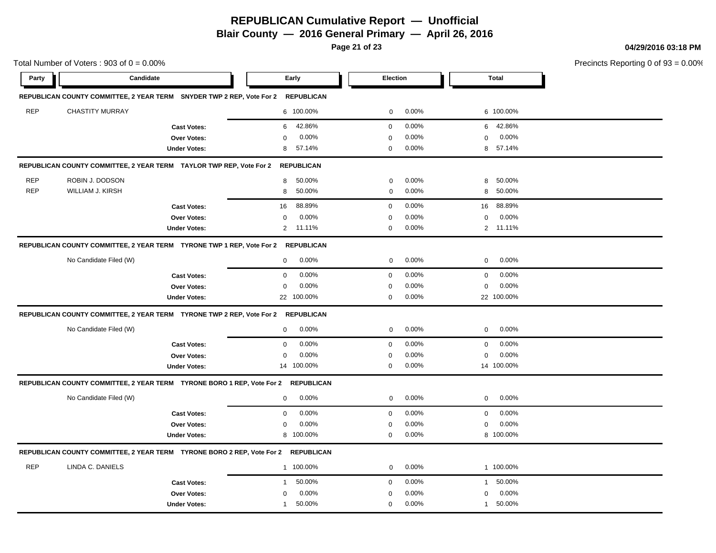**Blair County — 2016 General Primary — April 26, 2016**

**Page 21 of 23**

**04/29/2016 03:18 PM**

|            | Total Number of Voters: $903$ of $0 = 0.00\%$                                     |                     |              |                   |             |       | Precincts Reporting 0 of |              |  |
|------------|-----------------------------------------------------------------------------------|---------------------|--------------|-------------------|-------------|-------|--------------------------|--------------|--|
| Party      | Candidate                                                                         |                     |              | Early             | Election    |       |                          | <b>Total</b> |  |
|            | REPUBLICAN COUNTY COMMITTEE, 2 YEAR TERM SNYDER TWP 2 REP, Vote For 2             |                     |              | <b>REPUBLICAN</b> |             |       |                          |              |  |
| <b>REP</b> | <b>CHASTITY MURRAY</b>                                                            |                     |              | 6 100.00%         | 0           | 0.00% |                          | 6 100.00%    |  |
|            |                                                                                   | <b>Cast Votes:</b>  | 6            | 42.86%            | $\mathbf 0$ | 0.00% |                          | 6 42.86%     |  |
|            |                                                                                   | Over Votes:         | 0            | 0.00%             | $\mathbf 0$ | 0.00% | 0                        | 0.00%        |  |
|            |                                                                                   | <b>Under Votes:</b> | 8            | 57.14%            | 0           | 0.00% | 8                        | 57.14%       |  |
|            | REPUBLICAN COUNTY COMMITTEE, 2 YEAR TERM TAYLOR TWP REP, Vote For 2               |                     |              | <b>REPUBLICAN</b> |             |       |                          |              |  |
| <b>REP</b> | ROBIN J. DODSON                                                                   |                     | 8            | 50.00%            | $\mathbf 0$ | 0.00% | 8                        | 50.00%       |  |
| <b>REP</b> | WILLIAM J. KIRSH                                                                  |                     | 8            | 50.00%            | $\pmb{0}$   | 0.00% | 8                        | 50.00%       |  |
|            |                                                                                   | <b>Cast Votes:</b>  | 16           | 88.89%            | $\mathbf 0$ | 0.00% | 16                       | 88.89%       |  |
|            |                                                                                   | Over Votes:         | 0            | 0.00%             | $\mathbf 0$ | 0.00% | 0                        | 0.00%        |  |
|            |                                                                                   | <b>Under Votes:</b> | 2            | 11.11%            | $\mathbf 0$ | 0.00% |                          | 2 11.11%     |  |
|            | REPUBLICAN COUNTY COMMITTEE, 2 YEAR TERM TYRONE TWP 1 REP, Vote For 2 REPUBLICAN  |                     |              |                   |             |       |                          |              |  |
|            | No Candidate Filed (W)                                                            |                     | $\mathbf 0$  | 0.00%             | 0           | 0.00% | 0                        | 0.00%        |  |
|            |                                                                                   | <b>Cast Votes:</b>  | $\mathbf 0$  | 0.00%             | $\mathbf 0$ | 0.00% | 0                        | 0.00%        |  |
|            |                                                                                   | Over Votes:         | 0            | 0.00%             | 0           | 0.00% | 0                        | 0.00%        |  |
|            |                                                                                   | <b>Under Votes:</b> |              | 22 100.00%        | 0           | 0.00% |                          | 22 100.00%   |  |
|            | REPUBLICAN COUNTY COMMITTEE, 2 YEAR TERM TYRONE TWP 2 REP, Vote For 2             |                     |              | <b>REPUBLICAN</b> |             |       |                          |              |  |
|            | No Candidate Filed (W)                                                            |                     | $\mathbf 0$  | 0.00%             | 0           | 0.00% | 0                        | 0.00%        |  |
|            |                                                                                   | <b>Cast Votes:</b>  | $\mathbf 0$  | 0.00%             | $\mathbf 0$ | 0.00% | 0                        | 0.00%        |  |
|            |                                                                                   | Over Votes:         | 0            | 0.00%             | $\mathbf 0$ | 0.00% | 0                        | 0.00%        |  |
|            |                                                                                   | <b>Under Votes:</b> |              | 14 100.00%        | 0           | 0.00% |                          | 14 100.00%   |  |
|            | REPUBLICAN COUNTY COMMITTEE, 2 YEAR TERM TYRONE BORO 1 REP, Vote For 2            |                     |              | <b>REPUBLICAN</b> |             |       |                          |              |  |
|            | No Candidate Filed (W)                                                            |                     | $\mathbf 0$  | $0.00\%$          | 0           | 0.00% | 0                        | 0.00%        |  |
|            |                                                                                   | <b>Cast Votes:</b>  | $\mathbf 0$  | 0.00%             | $\mathbf 0$ | 0.00% | 0                        | 0.00%        |  |
|            |                                                                                   | Over Votes:         | $\Omega$     | 0.00%             | 0           | 0.00% | 0                        | 0.00%        |  |
|            |                                                                                   | <b>Under Votes:</b> |              | 8 100.00%         | $\mathbf 0$ | 0.00% |                          | 8 100.00%    |  |
|            | REPUBLICAN COUNTY COMMITTEE, 2 YEAR TERM TYRONE BORO 2 REP, Vote For 2 REPUBLICAN |                     |              |                   |             |       |                          |              |  |
| <b>REP</b> | LINDA C. DANIELS                                                                  |                     |              | 1 100.00%         | $\mathbf 0$ | 0.00% |                          | 1 100.00%    |  |
|            |                                                                                   | <b>Cast Votes:</b>  | 1            | 50.00%            | $\mathsf 0$ | 0.00% | $\mathbf{1}$             | 50.00%       |  |
|            |                                                                                   | Over Votes:         | 0            | 0.00%             | 0           | 0.00% | 0                        | 0.00%        |  |
|            |                                                                                   | <b>Under Votes:</b> | $\mathbf{1}$ | 50.00%            | 0           | 0.00% | $\mathbf{1}$             | 50.00%       |  |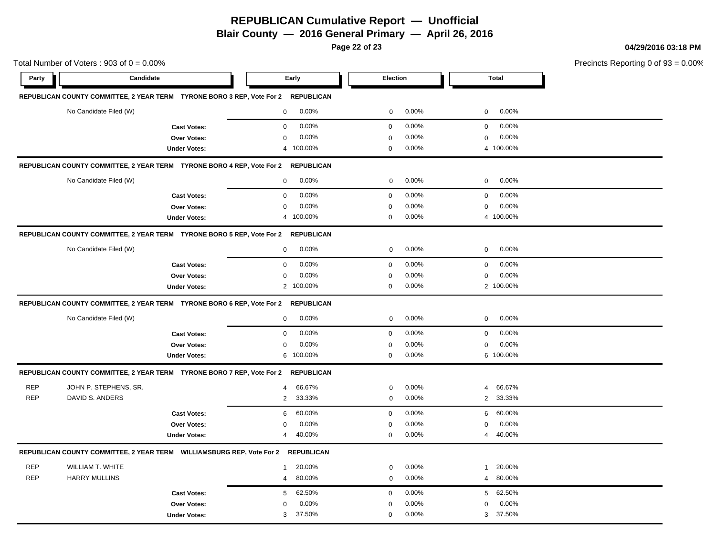**Blair County — 2016 General Primary — April 26, 2016**

**Page 22 of 23**

**04/29/2016 03:18 PM**

| Total Number of Voters: $903$ of $0 = 0.00\%$ |                                                                                  |                     |                |                   |                  | Precincts Reporting 0 of 9 |                |              |  |
|-----------------------------------------------|----------------------------------------------------------------------------------|---------------------|----------------|-------------------|------------------|----------------------------|----------------|--------------|--|
| Party                                         | Candidate                                                                        |                     | Early          |                   | Election         |                            |                | <b>Total</b> |  |
|                                               | REPUBLICAN COUNTY COMMITTEE, 2 YEAR TERM TYRONE BORO 3 REP, Vote For 2           |                     |                | <b>REPUBLICAN</b> |                  |                            |                |              |  |
|                                               | No Candidate Filed (W)                                                           |                     | 0              | 0.00%             | 0                | 0.00%                      | 0              | 0.00%        |  |
|                                               |                                                                                  | <b>Cast Votes:</b>  | 0              | 0.00%             | $\mathbf 0$      | 0.00%                      | 0              | 0.00%        |  |
|                                               |                                                                                  | Over Votes:         | $\mathbf 0$    | 0.00%             | $\mathbf 0$      | 0.00%                      | $\mathbf 0$    | 0.00%        |  |
|                                               |                                                                                  | <b>Under Votes:</b> | 4 100.00%      |                   | $\mathbf 0$      | 0.00%                      |                | 4 100.00%    |  |
|                                               | REPUBLICAN COUNTY COMMITTEE, 2 YEAR TERM TYRONE BORO 4 REP, Vote For 2           |                     |                | <b>REPUBLICAN</b> |                  |                            |                |              |  |
|                                               | No Candidate Filed (W)                                                           |                     | 0              | 0.00%             | 0                | 0.00%                      | 0              | 0.00%        |  |
|                                               |                                                                                  | <b>Cast Votes:</b>  | $\mathbf 0$    | 0.00%             | $\mathbf 0$      | 0.00%                      | 0              | 0.00%        |  |
|                                               |                                                                                  | Over Votes:         | $\mathbf 0$    | 0.00%             | $\mathbf 0$      | 0.00%                      | $\mathbf 0$    | 0.00%        |  |
|                                               |                                                                                  | <b>Under Votes:</b> | 4 100.00%      |                   | $\mathbf 0$      | 0.00%                      |                | 4 100.00%    |  |
|                                               | REPUBLICAN COUNTY COMMITTEE, 2 YEAR TERM TYRONE BORO 5 REP, Vote For 2           |                     |                | <b>REPUBLICAN</b> |                  |                            |                |              |  |
|                                               | No Candidate Filed (W)                                                           |                     | $\mathbf 0$    | 0.00%             | 0                | 0.00%                      | 0              | $0.00\%$     |  |
|                                               |                                                                                  | <b>Cast Votes:</b>  | $\mathbf 0$    | 0.00%             | $\mathbf 0$      | 0.00%                      | $\mathbf 0$    | 0.00%        |  |
|                                               |                                                                                  | Over Votes:         | 0              | 0.00%             | 0                | 0.00%                      | 0              | 0.00%        |  |
|                                               |                                                                                  | <b>Under Votes:</b> | $\overline{2}$ | 100.00%           | $\Omega$         | 0.00%                      |                | 2 100.00%    |  |
|                                               | REPUBLICAN COUNTY COMMITTEE, 2 YEAR TERM TYRONE BORO 6 REP, Vote For 2           |                     |                | <b>REPUBLICAN</b> |                  |                            |                |              |  |
|                                               | No Candidate Filed (W)                                                           |                     | 0              | 0.00%             | 0                | 0.00%                      | $\mathbf 0$    | 0.00%        |  |
|                                               |                                                                                  | <b>Cast Votes:</b>  | 0              | 0.00%             | $\mathbf 0$      | 0.00%                      | 0              | 0.00%        |  |
|                                               |                                                                                  | Over Votes:         | $\mathbf 0$    | 0.00%             | $\mathbf 0$      | 0.00%                      | $\mathbf 0$    | 0.00%        |  |
|                                               |                                                                                  | <b>Under Votes:</b> | 6              | 100.00%           | $\mathbf 0$      | 0.00%                      |                | 6 100.00%    |  |
|                                               | REPUBLICAN COUNTY COMMITTEE, 2 YEAR TERM TYRONE BORO 7 REP, Vote For 2           |                     |                | <b>REPUBLICAN</b> |                  |                            |                |              |  |
| <b>REP</b>                                    | JOHN P. STEPHENS, SR.                                                            |                     | 4              | 66.67%            | 0                | 0.00%                      | $\overline{4}$ | 66.67%       |  |
| <b>REP</b>                                    | DAVID S. ANDERS                                                                  |                     | $\overline{2}$ | 33.33%            | $\mathbf 0$      | 0.00%                      |                | 2 33.33%     |  |
|                                               |                                                                                  | <b>Cast Votes:</b>  | 6              | 60.00%            | $\boldsymbol{0}$ | 0.00%                      | 6              | 60.00%       |  |
|                                               |                                                                                  | Over Votes:         | $\mathbf 0$    | 0.00%             | $\mathbf 0$      | 0.00%                      | $\mathbf 0$    | $0.00\%$     |  |
|                                               |                                                                                  | <b>Under Votes:</b> | 4              | 40.00%            | $\mathbf 0$      | 0.00%                      |                | 4 40.00%     |  |
|                                               | REPUBLICAN COUNTY COMMITTEE, 2 YEAR TERM WILLIAMSBURG REP, Vote For 2 REPUBLICAN |                     |                |                   |                  |                            |                |              |  |
| <b>REP</b>                                    | <b>WILLIAM T. WHITE</b>                                                          |                     | $\mathbf{1}$   | 20.00%            | $\pmb{0}$        | 0.00%                      | $\mathbf{1}$   | 20.00%       |  |
| <b>REP</b>                                    | <b>HARRY MULLINS</b>                                                             |                     | 4              | 80.00%            | 0                | 0.00%                      | $\overline{4}$ | 80.00%       |  |
|                                               |                                                                                  | <b>Cast Votes:</b>  | 5              | 62.50%            | $\mathbf 0$      | 0.00%                      | 5 <sup>5</sup> | 62.50%       |  |
|                                               |                                                                                  | Over Votes:         | $\mathbf 0$    | 0.00%             | $\mathbf 0$      | 0.00%                      | $\mathbf 0$    | 0.00%        |  |
|                                               |                                                                                  | <b>Under Votes:</b> | 3              | 37.50%            | $\mathbf 0$      | 0.00%                      | 3              | 37.50%       |  |